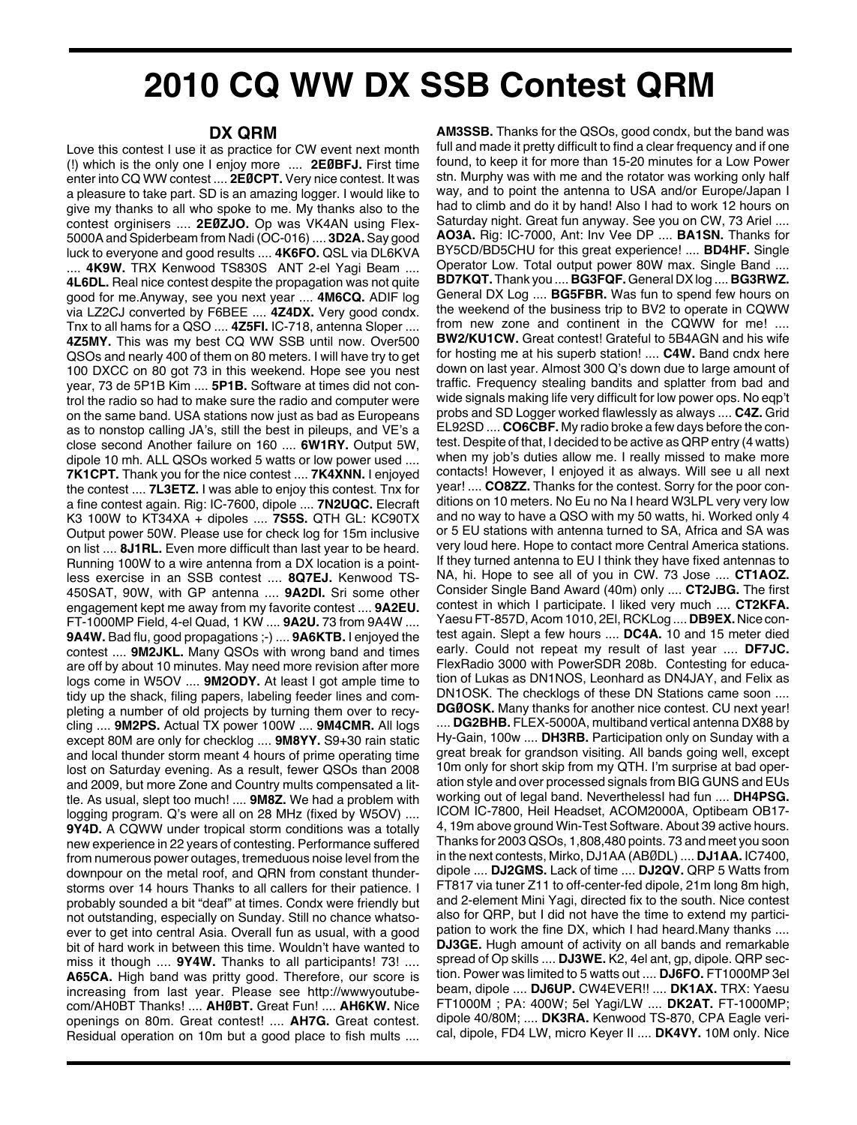## **2010 CQ WW DX SSB Contest QRM**

## **DX QRM**

Love this contest I use it as practice for CW event next month (!) which is the only one I enjoy more .... **2EØBFJ.** First time enter into CQ WW contest .... **2EØCPT.** Very nice contest. It was a pleasure to take part. SD is an amazing logger. I would like to give my thanks to all who spoke to me. My thanks also to the contest orginisers .... **2EØZJO.** Op was VK4AN using Flex-5000A and Spiderbeam from Nadi (OC-016) .... **3D2A.** Say good luck to everyone and good results .... **4K6FO.** QSL via DL6KVA .... **4K9W.** TRX Kenwood TS830S ANT 2-el Yagi Beam .... **4L6DL.** Real nice contest despite the propagation was not quite good for me.Anyway, see you next year .... **4M6CQ.** ADIF log via LZ2CJ converted by F6BEE .... **4Z4DX.** Very good condx. Tnx to all hams for a QSO .... **4Z5FI.** IC-718, antenna Sloper .... **4Z5MY.** This was my best CQ WW SSB until now. Over500 QSOs and nearly 400 of them on 80 meters. I will have try to get 100 DXCC on 80 got 73 in this weekend. Hope see you nest year, 73 de 5P1B Kim .... **5P1B.** Software at times did not control the radio so had to make sure the radio and computer were on the same band. USA stations now just as bad as Europeans as to nonstop calling JA's, still the best in pileups, and VE's a close second Another failure on 160 .... **6W1RY.** Output 5W, dipole 10 mh. ALL QSOs worked 5 watts or low power used .... **7K1CPT.** Thank you for the nice contest .... **7K4XNN.** I enjoyed the contest .... **7L3ETZ.** I was able to enjoy this contest. Tnx for a fine contest again. Rig: IC-7600, dipole .... **7N2UQC.** Elecraft K3 100W to KT34XA + dipoles .... **7S5S.** QTH GL: KC90TX Output power 50W. Please use for check log for 15m inclusive on list .... **8J1RL.** Even more difficult than last year to be heard. Running 100W to a wire antenna from a DX location is a pointless exercise in an SSB contest .... **8Q7EJ.** Kenwood TS-450SAT, 90W, with GP antenna .... **9A2DI.** Sri some other engagement kept me away from my favorite contest .... **9A2EU.** FT-1000MP Field, 4-el Quad, 1 KW .... **9A2U.** 73 from 9A4W .... **9A4W.** Bad flu, good propagations ;-) .... **9A6KTB.** I enjoyed the contest .... **9M2JKL.** Many QSOs with wrong band and times are off by about 10 minutes. May need more revision after more logs come in W5OV .... **9M2ODY.** At least I got ample time to tidy up the shack, filing papers, labeling feeder lines and completing a number of old projects by turning them over to recycling .... **9M2PS.** Actual TX power 100W .... **9M4CMR.** All logs except 80M are only for checklog .... **9M8YY.** S9+30 rain static and local thunder storm meant 4 hours of prime operating time lost on Saturday evening. As a result, fewer QSOs than 2008 and 2009, but more Zone and Country mults compensated a little. As usual, slept too much! .... **9M8Z.** We had a problem with logging program. Q's were all on 28 MHz (fixed by W5OV) .... **9Y4D.** A CQWW under tropical storm conditions was a totally new experience in 22 years of contesting. Performance suffered from numerous power outages, tremeduous noise level from the downpour on the metal roof, and QRN from constant thunderstorms over 14 hours Thanks to all callers for their patience. I probably sounded a bit "deaf" at times. Condx were friendly but not outstanding, especially on Sunday. Still no chance whatsoever to get into central Asia. Overall fun as usual, with a good bit of hard work in between this time. Wouldn't have wanted to miss it though .... **9Y4W.** Thanks to all participants! 73! .... **A65CA.** High band was pritty good. Therefore, our score is increasing from last year. Please see http://wwwyoutubecom/AH0BT Thanks! .... **AHØBT.** Great Fun! .... **AH6KW.** Nice openings on 80m. Great contest! .... **AH7G.** Great contest. Residual operation on 10m but a good place to fish mults ....

**AM3SSB.** Thanks for the QSOs, good condx, but the band was full and made it pretty difficult to find a clear frequency and if one found, to keep it for more than 15-20 minutes for a Low Power stn. Murphy was with me and the rotator was working only half way, and to point the antenna to USA and/or Europe/Japan I had to climb and do it by hand! Also I had to work 12 hours on Saturday night. Great fun anyway. See you on CW, 73 Ariel .... **AO3A.** Rig: IC-7000, Ant: Inv Vee DP .... **BA1SN.** Thanks for BY5CD/BD5CHU for this great experience! .... **BD4HF.** Single Operator Low. Total output power 80W max. Single Band .... **BD7KQT.** Thank you .... **BG3FQF.**General DXlog .... **BG3RWZ.** General DX Log .... **BG5FBR.** Was fun to spend few hours on the weekend of the business trip to BV2 to operate in CQWW from new zone and continent in the CQWW for me! .... **BW2/KU1CW.** Great contest! Grateful to 5B4AGN and his wife for hosting me at his superb station! .... **C4W.** Band cndx here down on last year. Almost 300 Q's down due to large amount of traffic. Frequency stealing bandits and splatter from bad and wide signals making life very difficult for low power ops. No eqp't probs and SD Logger worked flawlessly as always .... **C4Z.** Grid EL92SD .... **CO6CBF.** My radio broke a few days before the contest. Despite of that, I decided to be active as QRP entry (4 watts) when my job's duties allow me. I really missed to make more contacts! However, I enjoyed it as always. Will see u all next year! .... **CO8ZZ.** Thanks for the contest. Sorry for the poor conditions on 10 meters. No Eu no Na I heard W3LPL very very low and no way to have a QSO with my 50 watts, hi. Worked only 4 or 5 EU stations with antenna turned to SA, Africa and SA was very loud here. Hope to contact more Central America stations. If they turned antenna to EU I think they have fixed antennas to NA, hi. Hope to see all of you in CW. 73 Jose .... **CT1AOZ.** Consider Single Band Award (40m) only .... **CT2JBG.** The first contest in which I participate. I liked very much .... **CT2KFA.** Yaesu FT-857D, Acom 1010, 2EI, RCKLog .... **DB9EX.** Nice contest again. Slept a few hours .... **DC4A.** 10 and 15 meter died early. Could not repeat my result of last year .... **DF7JC.** FlexRadio 3000 with PowerSDR 208b. Contesting for education of Lukas as DN1NOS, Leonhard as DN4JAY, and Felix as DN1OSK. The checklogs of these DN Stations came soon .... **DGØOSK.** Many thanks for another nice contest. CU next year!

.... **DG2BHB.** FLEX-5000A, multiband vertical antenna DX88 by Hy-Gain, 100w .... **DH3RB.** Participation only on Sunday with a great break for grandson visiting. All bands going well, except 10m only for short skip from my QTH. I'm surprise at bad operation style and over processed signals from BIG GUNS and EUs working out of legal band. NeverthelessI had fun .... **DH4PSG.** ICOM IC-7800, Heil Headset, ACOM2000A, Optibeam OB17- 4, 19m above ground Win-Test Software. About 39 active hours. Thanks for 2003 QSOs, 1,808,480 points. 73 and meet you soon in the next contests, Mirko, DJ1AA (ABØDL) .... **DJ1AA.** IC7400, dipole .... **DJ2GMS.** Lack of time .... **DJ2QV.** QRP 5 Watts from FT817 via tuner Z11 to off-center-fed dipole, 21m long 8m high, and 2-element Mini Yagi, directed fix to the south. Nice contest also for QRP, but I did not have the time to extend my participation to work the fine DX, which I had heard.Many thanks .... **DJ3GE.** Hugh amount of activity on all bands and remarkable spread of Op skills .... **DJ3WE.** K2, 4el ant, gp, dipole. QRP section. Power was limited to 5 watts out .... **DJ6FO.** FT1000MP 3el beam, dipole .... **DJ6UP.** CW4EVER!! .... **DK1AX.** TRX: Yaesu FT1000M ; PA: 400W; 5el Yagi/LW .... **DK2AT.** FT-1000MP; dipole 40/80M; .... **DK3RA.** Kenwood TS-870, CPA Eagle verical, dipole, FD4 LW, micro Keyer II .... **DK4VY.** 10M only. Nice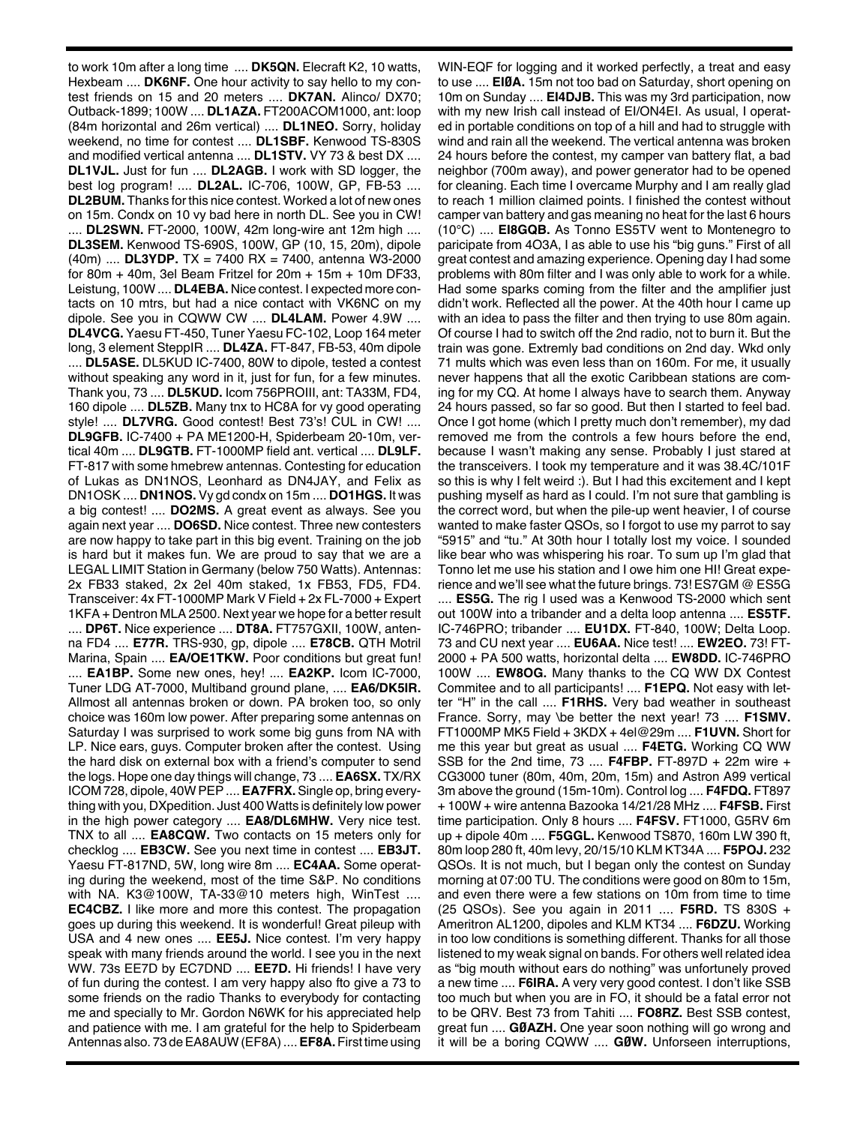to work 10m after a long time .... **DK5QN.** Elecraft K2, 10 watts, Hexbeam .... **DK6NF.** One hour activity to say hello to my contest friends on 15 and 20 meters .... **DK7AN.** Alinco/ DX70; Outback-1899; 100W .... **DL1AZA.** FT200ACOM1000, ant: loop (84m horizontal and 26m vertical) .... **DL1NEO.** Sorry, holiday weekend, no time for contest .... **DL1SBF.** Kenwood TS-830S and modified vertical antenna .... **DL1STV.** VY 73 & best DX .... **DL1VJL.** Just for fun .... **DL2AGB.** I work with SD logger, the best log program! .... **DL2AL.** IC-706, 100W, GP, FB-53 .... **DL2BUM.** Thanks for this nice contest. Worked a lot of new ones on 15m. Condx on 10 vy bad here in north DL. See you in CW! .... **DL2SWN.** FT-2000, 100W, 42m long-wire ant 12m high .... **DL3SEM.** Kenwood TS-690S, 100W, GP (10, 15, 20m), dipole (40m) .... **DL3YDP.** TX = 7400 RX = 7400, antenna W3-2000 for 80m + 40m, 3el Beam Fritzel for  $20m + 15m + 10m$  DF33, Leistung, 100W .... **DL4EBA.** Nice contest. I expected more contacts on 10 mtrs, but had a nice contact with VK6NC on my dipole. See you in CQWW CW .... **DL4LAM.** Power 4.9W .... **DL4VCG.** Yaesu FT-450, Tuner Yaesu FC-102, Loop 164 meter long, 3 element SteppIR .... **DL4ZA.** FT-847, FB-53, 40m dipole .... **DL5ASE.** DL5KUD IC-7400, 80W to dipole, tested a contest without speaking any word in it, just for fun, for a few minutes. Thank you, 73 .... **DL5KUD.** Icom 756PROIII, ant: TA33M, FD4, 160 dipole .... **DL5ZB.** Many tnx to HC8A for vy good operating style! .... **DL7VRG.** Good contest! Best 73's! CUL in CW! .... **DL9GFB.** IC-7400 + PA ME1200-H, Spiderbeam 20-10m, vertical 40m .... **DL9GTB.** FT-1000MP field ant. vertical .... **DL9LF.** FT-817 with some hmebrew antennas. Contesting for education of Lukas as DN1NOS, Leonhard as DN4JAY, and Felix as DN1OSK .... **DN1NOS.** Vy gd condx on 15m .... **DO1HGS.** It was a big contest! .... **DO2MS.** A great event as always. See you again next year .... **DO6SD.** Nice contest. Three new contesters are now happy to take part in this big event. Training on the job is hard but it makes fun. We are proud to say that we are a LEGAL LIMIT Station in Germany (below 750 Watts). Antennas: 2x FB33 staked, 2x 2el 40m staked, 1x FB53, FD5, FD4. Transceiver: 4x FT-1000MP Mark V Field + 2x FL-7000 + Expert 1KFA + Dentron MLA 2500. Next year we hope for a better result .... **DP6T.** Nice experience .... **DT8A.** FT757GXII, 100W, antenna FD4 .... **E77R.** TRS-930, gp, dipole .... **E78CB.** QTH Motril Marina, Spain .... **EA/OE1TKW.** Poor conditions but great fun! .... **EA1BP.** Some new ones, hey! .... **EA2KP.** Icom IC-7000, Tuner LDG AT-7000, Multiband ground plane, .... **EA6/DK5IR.** Allmost all antennas broken or down. PA broken too, so only choice was 160m low power. After preparing some antennas on Saturday I was surprised to work some big guns from NA with LP. Nice ears, guys. Computer broken after the contest. Using the hard disk on external box with a friend's computer to send the logs. Hope one day things will change, 73 .... **EA6SX.** TX/RX ICOM 728, dipole, 40WPEP....**EA7FRX.**Single op, bring everything with you, DXpedition. Just 400 Watts is definitely low power in the high power category .... **EA8/DL6MHW.** Very nice test. TNX to all .... **EA8CQW.** Two contacts on 15 meters only for checklog .... **EB3CW.** See you next time in contest .... **EB3JT.** Yaesu FT-817ND, 5W, long wire 8m .... **EC4AA.** Some operating during the weekend, most of the time S&P. No conditions with NA. K3@100W, TA-33@10 meters high, WinTest .... **EC4CBZ.** I like more and more this contest. The propagation goes up during this weekend. It is wonderful! Great pileup with USA and 4 new ones .... **EE5J.** Nice contest. I'm very happy speak with many friends around the world. I see you in the next WW. 73s EE7D by EC7DND .... **EE7D.** Hi friends! I have very of fun during the contest. I am very happy also fto give a 73 to some friends on the radio Thanks to everybody for contacting me and specially to Mr. Gordon N6WK for his appreciated help and patience with me. I am grateful for the help to Spiderbeam Antennas also. 73 de EA8AUW (EF8A) .... **EF8A.** First time using

WIN-EQF for logging and it worked perfectly, a treat and easy to use .... **EIØA.** 15m not too bad on Saturday, short opening on 10m on Sunday .... **EI4DJB.** This was my 3rd participation, now with my new Irish call instead of EI/ON4EI. As usual, I operated in portable conditions on top of a hill and had to struggle with wind and rain all the weekend. The vertical antenna was broken 24 hours before the contest, my camper van battery flat, a bad neighbor (700m away), and power generator had to be opened for cleaning. Each time I overcame Murphy and I am really glad to reach 1 million claimed points. I finished the contest without camper van battery and gas meaning no heat for the last 6 hours (10°C) .... **EI8GQB.** As Tonno ES5TV went to Montenegro to paricipate from 4O3A, I as able to use his "big guns." First of all great contest and amazing experience. Opening day I had some problems with 80m filter and I was only able to work for a while. Had some sparks coming from the filter and the amplifier just didn't work. Reflected all the power. At the 40th hour I came up with an idea to pass the filter and then trying to use 80m again. Of course I had to switch off the 2nd radio, not to burn it. But the train was gone. Extremly bad conditions on 2nd day. Wkd only 71 mults which was even less than on 160m. For me, it usually never happens that all the exotic Caribbean stations are coming for my CQ. At home I always have to search them. Anyway 24 hours passed, so far so good. But then I started to feel bad. Once I got home (which I pretty much don't remember), my dad removed me from the controls a few hours before the end, because I wasn't making any sense. Probably I just stared at the transceivers. I took my temperature and it was 38.4C/101F so this is why I felt weird :). But I had this excitement and I kept pushing myself as hard as I could. I'm not sure that gambling is the correct word, but when the pile-up went heavier, I of course wanted to make faster QSOs, so I forgot to use my parrot to say "5915" and "tu." At 30th hour I totally lost my voice. I sounded like bear who was whispering his roar. To sum up I'm glad that Tonno let me use his station and I owe him one HI! Great experience and we'll see what the future brings. 73! ES7GM @ ES5G .... **ES5G.** The rig I used was a Kenwood TS-2000 which sent out 100W into a tribander and a delta loop antenna .... **ES5TF.** IC-746PRO; tribander .... **EU1DX.** FT-840, 100W; Delta Loop. 73 and CU next year .... **EU6AA.** Nice test! .... **EW2EO.** 73! FT-2000 + PA 500 watts, horizontal delta .... **EW8DD.** IC-746PRO 100W .... **EW8OG.** Many thanks to the CQ WW DX Contest Commitee and to all participants! .... **F1EPQ.** Not easy with letter "H" in the call .... **F1RHS.** Very bad weather in southeast France. Sorry, may \be better the next year! 73 .... **F1SMV.** FT1000MP MK5 Field + 3KDX + 4el@29m .... **F1UVN.** Short for me this year but great as usual .... **F4ETG.** Working CQ WW SSB for the 2nd time, 73 .... **F4FBP.** FT-897D + 22m wire + CG3000 tuner (80m, 40m, 20m, 15m) and Astron A99 vertical 3m above the ground (15m-10m). Control log .... **F4FDQ.** FT897 + 100W + wire antenna Bazooka 14/21/28 MHz .... **F4FSB.** First time participation. Only 8 hours .... **F4FSV.** FT1000, G5RV 6m up + dipole 40m .... **F5GGL.** Kenwood TS870, 160m LW 390 ft, 80m loop 280 ft, 40m levy, 20/15/10 KLM KT34A .... **F5POJ.** 232 QSOs. It is not much, but I began only the contest on Sunday morning at 07:00 TU. The conditions were good on 80m to 15m, and even there were a few stations on 10m from time to time (25 QSOs). See you again in 2011 .... **F5RD.** TS 830S + Ameritron AL1200, dipoles and KLM KT34 .... **F6DZU.** Working in too low conditions is something different. Thanks for all those listened to my weak signal on bands. For others well related idea as "big mouth without ears do nothing" was unfortunely proved a new time .... **F6IRA.** A very very good contest. I don't like SSB too much but when you are in FO, it should be a fatal error not to be QRV. Best 73 from Tahiti .... **FO8RZ.** Best SSB contest, great fun .... **GØAZH.** One year soon nothing will go wrong and it will be a boring CQWW .... **GØW.** Unforseen interruptions,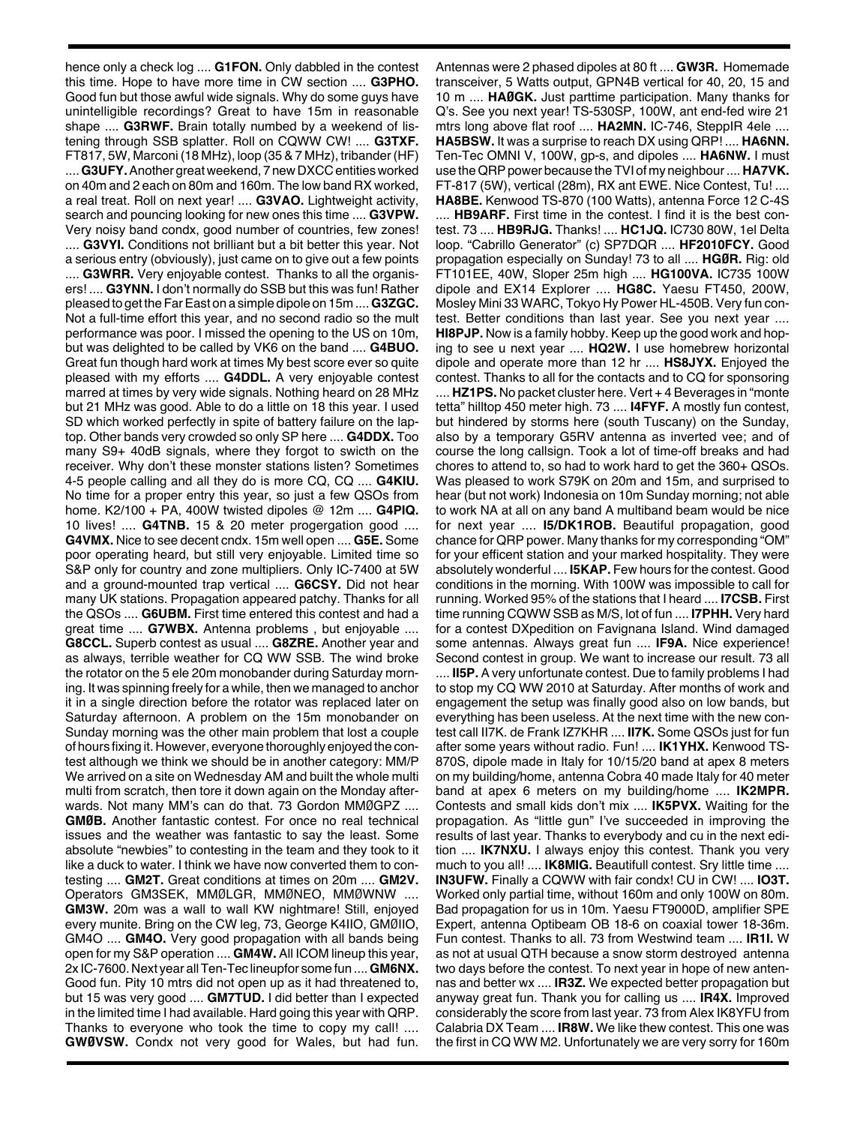hence only a check log .... **G1FON.** Only dabbled in the contest this time. Hope to have more time in CW section .... **G3PHO.** Good fun but those awful wide signals. Why do some guys have unintelligible recordings? Great to have 15m in reasonable shape .... **G3RWF.** Brain totally numbed by a weekend of listening through SSB splatter. Roll on CQWW CW! .... **G3TXF.** FT817, 5W, Marconi (18 MHz), loop (35 & 7 MHz), tribander (HF) .... **G3UFY.** Another great weekend, 7 new DXCC entities worked on 40m and 2 each on 80m and 160m. The low band RX worked, a real treat. Roll on next year! .... **G3VAO.** Lightweight activity, search and pouncing looking for new ones this time .... **G3VPW.** Very noisy band condx, good number of countries, few zones! .... **G3VYI.** Conditions not brilliant but a bit better this year. Not a serious entry (obviously), just came on to give out a few points .... **G3WRR.** Very enjoyable contest. Thanks to all the organisers! .... **G3YNN.** I don't normally do SSB but this was fun! Rather pleased to get theFarEast on a simple dipole on 15m ....**G3ZGC.** Not a full-time effort this year, and no second radio so the mult performance was poor. I missed the opening to the US on 10m, but was delighted to be called by VK6 on the band .... **G4BUO.** Great fun though hard work at times My best score ever so quite pleased with my efforts .... **G4DDL.** A very enjoyable contest marred at times by very wide signals. Nothing heard on 28 MHz but 21 MHz was good. Able to do a little on 18 this year. I used SD which worked perfectly in spite of battery failure on the laptop. Other bands very crowded so only SP here .... **G4DDX.** Too many S9+ 40dB signals, where they forgot to swicth on the receiver. Why don't these monster stations listen? Sometimes 4-5 people calling and all they do is more CQ, CQ .... **G4KIU.** No time for a proper entry this year, so just a few QSOs from home. K2/100 + PA, 400W twisted dipoles @ 12m .... **G4PIQ.** 10 lives! .... **G4TNB.** 15 & 20 meter progergation good .... **G4VMX.** Nice to see decent cndx. 15m well open .... **G5E.** Some poor operating heard, but still very enjoyable. Limited time so S&P only for country and zone multipliers. Only IC-7400 at 5W and a ground-mounted trap vertical .... **G6CSY.** Did not hear many UK stations. Propagation appeared patchy. Thanks for all the QSOs .... **G6UBM.** First time entered this contest and had a great time .... **G7WBX.** Antenna problems , but enjoyable .... **G8CCL.** Superb contest as usual .... **G8ZRE.** Another year and as always, terrible weather for CQ WW SSB. The wind broke the rotator on the 5 ele 20m monobander during Saturday morning. It was spinning freely for a while, then we managed to anchor it in a single direction before the rotator was replaced later on Saturday afternoon. A problem on the 15m monobander on Sunday morning was the other main problem that lost a couple of hours fixing it. However, everyone thoroughly enjoyed the contest although we think we should be in another category: MM/P We arrived on a site on Wednesday AM and built the whole multi multi from scratch, then tore it down again on the Monday afterwards. Not many MM's can do that. 73 Gordon MMØGPZ .... **GMØB.** Another fantastic contest. For once no real technical issues and the weather was fantastic to say the least. Some absolute "newbies" to contesting in the team and they took to it like a duck to water. I think we have now converted them to contesting .... **GM2T.** Great conditions at times on 20m .... **GM2V.** Operators GM3SEK, MMØLGR, MMØNEO, MMØWNW .... **GM3W.** 20m was a wall to wall KW nightmare! Still, enjoyed every munite. Bring on the CW leg, 73, George K4IIO, GMØIIO, GM4O .... **GM4O.** Very good propagation with all bands being open for my S&P operation .... **GM4W.** All ICOM lineup this year, 2x IC-7600.Next year allTen-Tec lineupfor some fun ....**GM6NX.** Good fun. Pity 10 mtrs did not open up as it had threatened to, but 15 was very good .... **GM7TUD.** I did better than I expected in the limited time I had available. Hard going this year with QRP. Thanks to everyone who took the time to copy my call! .... **GWØVSW.** Condx not very good for Wales, but had fun.

Antennas were 2 phased dipoles at 80 ft .... **GW3R.** Homemade transceiver, 5 Watts output, GPN4B vertical for 40, 20, 15 and 10 m .... **HAØGK.** Just parttime participation. Many thanks for Q's. See you next year! TS-530SP, 100W, ant end-fed wire 21 mtrs long above flat roof .... **HA2MN.** IC-746, SteppIR 4ele .... **HA5BSW.** It was a surprise to reach DX using QRP! .... **HA6NN.** Ten-Tec OMNI V, 100W, gp-s, and dipoles .... **HA6NW.** I must use the QRP power because the TVI of my neighbour.... **HA7VK.** FT-817 (5W), vertical (28m), RX ant EWE. Nice Contest, Tu! .... **HA8BE.** Kenwood TS-870 (100 Watts), antenna Force 12 C-4S .... **HB9ARF.** First time in the contest. I find it is the best contest. 73 .... **HB9RJG.** Thanks! .... **HC1JQ.** IC730 80W, 1el Delta loop. "Cabrillo Generator" (c) SP7DQR .... **HF2010FCY.** Good propagation especially on Sunday! 73 to all .... **HGØR.** Rig: old FT101EE, 40W, Sloper 25m high .... **HG100VA.** IC735 100W dipole and EX14 Explorer .... **HG8C.** Yaesu FT450, 200W, Mosley Mini 33 WARC, Tokyo Hy Power HL-450B. Very fun contest. Better conditions than last year. See you next year .... **HI8PJP.** Now is a family hobby. Keep up the good work and hoping to see u next year .... **HQ2W.** I use homebrew horizontal dipole and operate more than 12 hr .... **HS8JYX.** Enjoyed the contest. Thanks to all for the contacts and to CQ for sponsoring .... **HZ1PS.** No packet cluster here. Vert + 4 Beverages in "monte tetta" hilltop 450 meter high. 73 .... **I4FYF.** A mostly fun contest, but hindered by storms here (south Tuscany) on the Sunday, also by a temporary G5RV antenna as inverted vee; and of course the long callsign. Took a lot of time-off breaks and had chores to attend to, so had to work hard to get the 360+ QSOs. Was pleased to work S79K on 20m and 15m, and surprised to hear (but not work) Indonesia on 10m Sunday morning; not able to work NA at all on any band A multiband beam would be nice for next year .... **I5/DK1ROB.** Beautiful propagation, good chance for QRP power. Many thanks for my corresponding "OM" for your efficent station and your marked hospitality. They were absolutely wonderful .... **I5KAP.** Few hours for the contest. Good conditions in the morning. With 100W was impossible to call for running. Worked 95% of the stations that I heard .... **I7CSB.** First time running CQWW SSB as M/S, lot of fun .... **I7PHH.** Very hard for a contest DXpedition on Favignana Island. Wind damaged some antennas. Always great fun .... **IF9A.** Nice experience! Second contest in group. We want to increase our result. 73 all .... **II5P.** A very unfortunate contest. Due to family problems I had to stop my CQ WW 2010 at Saturday. After months of work and engagement the setup was finally good also on low bands, but everything has been useless. At the next time with the new contest call II7K. de Frank IZ7KHR .... **II7K.** Some QSOs just for fun after some years without radio. Fun! .... **IK1YHX.** Kenwood TS-870S, dipole made in Italy for 10/15/20 band at apex 8 meters on my building/home, antenna Cobra 40 made Italy for 40 meter band at apex 6 meters on my building/home .... **IK2MPR.** Contests and small kids don't mix .... **IK5PVX.** Waiting for the propagation. As "little gun" I've succeeded in improving the results of last year. Thanks to everybody and cu in the next edition .... **IK7NXU.** I always enjoy this contest. Thank you very much to you all! .... **IK8MIG.** Beautifull contest. Sry little time .... **IN3UFW.** Finally a CQWW with fair condx! CU in CW! .... **IO3T.** Worked only partial time, without 160m and only 100W on 80m. Bad propagation for us in 10m. Yaesu FT9000D, amplifier SPE Expert, antenna Optibeam OB 18-6 on coaxial tower 18-36m. Fun contest. Thanks to all. 73 from Westwind team .... **IR1I.** W as not at usual QTH because a snow storm destroyed antenna two days before the contest. To next year in hope of new antennas and better wx .... **IR3Z.** We expected better propagation but anyway great fun. Thank you for calling us .... **IR4X.** Improved considerably the score from last year. 73 from Alex IK8YFU from Calabria DX Team .... **IR8W.** We like thew contest. This one was the first in CQ WW M2. Unfortunately we are very sorry for 160m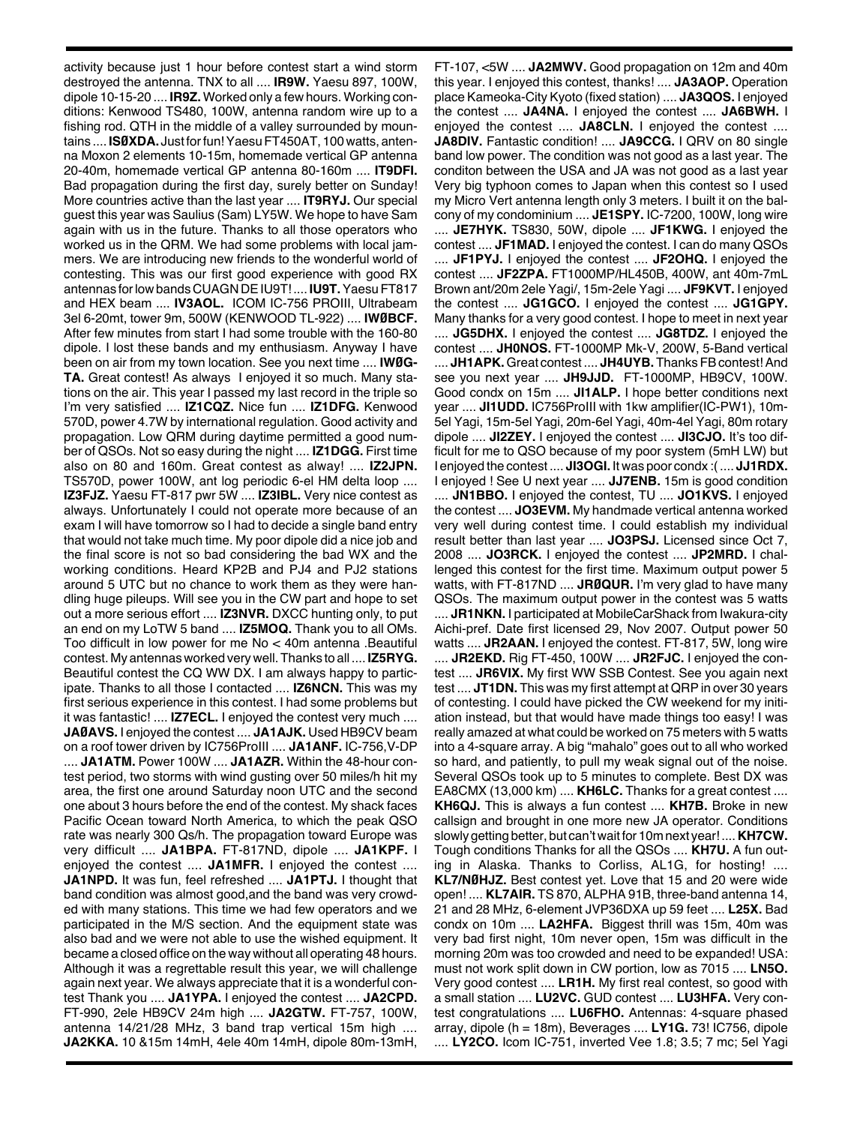activity because just 1 hour before contest start a wind storm destroyed the antenna. TNX to all .... **IR9W.** Yaesu 897, 100W, dipole 10-15-20 .... **IR9Z.** Worked only a few hours. Working conditions: Kenwood TS480, 100W, antenna random wire up to a fishing rod. QTH in the middle of a valley surrounded by mountains .... **ISØXDA.** Just forfun!YaesuFT450AT, 100watts, antenna Moxon 2 elements 10-15m, homemade vertical GP antenna 20-40m, homemade vertical GP antenna 80-160m .... **IT9DFI.** Bad propagation during the first day, surely better on Sunday! More countries active than the last year .... **IT9RYJ.** Our special guest this year was Saulius (Sam) LY5W. We hope to have Sam again with us in the future. Thanks to all those operators who worked us in the QRM. We had some problems with local jammers. We are introducing new friends to the wonderful world of contesting. This was our first good experience with good RX antennas forlowbandsCUAGNDEIU9T! .... **IU9T.**YaesuFT817 and HEX beam .... **IV3AOL.** ICOM IC-756 PROIII, Ultrabeam 3el 6-20mt, tower 9m, 500W (KENWOOD TL-922) .... **IWØBCF.** After few minutes from start I had some trouble with the 160-80 dipole. I lost these bands and my enthusiasm. Anyway I have been on air from my town location. See you next time .... **IWØG-TA.** Great contest! As always I enjoyed it so much. Many stations on the air. This year I passed my last record in the triple so I'm very satisfied .... **IZ1CQZ.** Nice fun .... **IZ1DFG.** Kenwood 570D, power 4.7W by international regulation. Good activity and propagation. Low QRM during daytime permitted a good number of QSOs. Not so easy during the night .... **IZ1DGG.** First time also on 80 and 160m. Great contest as alway! .... **IZ2JPN.** TS570D, power 100W, ant log periodic 6-el HM delta loop .... **IZ3FJZ.** Yaesu FT-817 pwr 5W .... **IZ3IBL.** Very nice contest as always. Unfortunately I could not operate more because of an exam I will have tomorrow so I had to decide a single band entry that would not take much time. My poor dipole did a nice job and the final score is not so bad considering the bad WX and the working conditions. Heard KP2B and PJ4 and PJ2 stations around 5 UTC but no chance to work them as they were handling huge pileups. Will see you in the CW part and hope to set out a more serious effort .... **IZ3NVR.** DXCC hunting only, to put an end on my LoTW 5 band .... **IZ5MOQ.** Thank you to all OMs. Too difficult in low power for me No < 40m antenna .Beautiful contest. My antennas worked very well.Thanks to all .... **IZ5RYG.** Beautiful contest the CQ WW DX. I am always happy to participate. Thanks to all those I contacted .... **IZ6NCN.** This was my first serious experience in this contest. I had some problems but it was fantastic! .... **IZ7ECL.** I enjoyed the contest very much .... **JAØAVS.** I enjoyed the contest .... **JA1AJK.** Used HB9CV beam on a roof tower driven by IC756ProIII .... **JA1ANF.** IC-756,V-DP .... **JA1ATM.** Power 100W .... **JA1AZR.** Within the 48-hour contest period, two storms with wind gusting over 50 miles/h hit my area, the first one around Saturday noon UTC and the second one about 3 hours before the end of the contest. My shack faces Pacific Ocean toward North America, to which the peak QSO rate was nearly 300 Qs/h. The propagation toward Europe was very difficult .... **JA1BPA.** FT-817ND, dipole .... **JA1KPF.** I enjoyed the contest .... **JA1MFR.** I enjoyed the contest .... **JA1NPD.** It was fun, feel refreshed .... **JA1PTJ.** I thought that band condition was almost good,and the band was very crowded with many stations. This time we had few operators and we participated in the M/S section. And the equipment state was also bad and we were not able to use the wished equipment. It became a closed office on the way without all operating 48 hours. Although it was a regrettable result this year, we will challenge again next year. We always appreciate that it is a wonderful contest Thank you .... **JA1YPA.** I enjoyed the contest .... **JA2CPD.** FT-990, 2ele HB9CV 24m high .... **JA2GTW.** FT-757, 100W, antenna 14/21/28 MHz, 3 band trap vertical 15m high .... **JA2KKA.** 10 &15m 14mH, 4ele 40m 14mH, dipole 80m-13mH,

FT-107, <5W .... **JA2MWV.** Good propagation on 12m and 40m this year. I enjoyed this contest, thanks! .... **JA3AOP.** Operation place Kameoka-City Kyoto (fixed station) .... **JA3QOS.** I enjoyed the contest .... **JA4NA.** I enjoyed the contest .... **JA6BWH.** I enjoyed the contest .... **JA8CLN.** I enjoyed the contest .... **JA8DIV.** Fantastic condition! .... **JA9CCG.** I QRV on 80 single band low power. The condition was not good as a last year. The conditon between the USA and JA was not good as a last year Very big typhoon comes to Japan when this contest so I used my Micro Vert antenna length only 3 meters. I built it on the balcony of my condominium .... **JE1SPY.** IC-7200, 100W, long wire .... **JE7HYK.** TS830, 50W, dipole .... **JF1KWG.** I enjoyed the contest .... **JF1MAD.** I enjoyed the contest. I can do many QSOs .... **JF1PYJ.** I enjoyed the contest .... **JF2OHQ.** I enjoyed the contest .... **JF2ZPA.** FT1000MP/HL450B, 400W, ant 40m-7mL Brown ant/20m 2ele Yagi/, 15m-2ele Yagi .... **JF9KVT.** I enjoyed the contest .... **JG1GCO.** I enjoyed the contest .... **JG1GPY.** Many thanks for a very good contest. I hope to meet in next year .... **JG5DHX.** I enjoyed the contest .... **JG8TDZ.** I enjoyed the contest .... **JH0NOS.** FT-1000MP Mk-V, 200W, 5-Band vertical .... JH1APK. Great contest .... JH4UYB. Thanks FB contest! And see you next year .... **JH9JJD.** FT-1000MP, HB9CV, 100W. Good condx on 15m .... **JI1ALP.** I hope better conditions next year .... **JI1UDD.** IC756ProIII with 1kw amplifier(IC-PW1), 10m-5el Yagi, 15m-5el Yagi, 20m-6el Yagi, 40m-4el Yagi, 80m rotary dipole .... **JI2ZEY.** I enjoyed the contest .... **JI3CJO.** It's too difficult for me to QSO because of my poor system (5mH LW) but I enjoyed the contest .... **JI3OGI.** It was poor condx :(.... **JJ1RDX.** I enjoyed ! See U next year .... **JJ7ENB.** 15m is good condition .... **JN1BBO.** I enjoyed the contest, TU .... **JO1KVS.** I enjoyed the contest .... **JO3EVM.** My handmade vertical antenna worked very well during contest time. I could establish my individual result better than last year .... **JO3PSJ.** Licensed since Oct 7, 2008 .... **JO3RCK.** I enjoyed the contest .... **JP2MRD.** I challenged this contest for the first time. Maximum output power 5 watts, with FT-817ND .... **JRØQUR.** I'm very glad to have many QSOs. The maximum output power in the contest was 5 watts .... **JR1NKN.** I participated at MobileCarShack from Iwakura-city Aichi-pref. Date first licensed 29, Nov 2007. Output power 50 watts .... **JR2AAN.** I enjoyed the contest. FT-817, 5W, long wire .... **JR2EKD.** Rig FT-450, 100W .... **JR2FJC.** I enjoyed the contest .... **JR6VIX.** My first WW SSB Contest. See you again next test .... **JT1DN.** This was my first attempt at QRP in over 30 years of contesting. I could have picked the CW weekend for my initiation instead, but that would have made things too easy! I was really amazed at what could be worked on 75 meters with 5 watts into a 4-square array. A big "mahalo" goes out to all who worked so hard, and patiently, to pull my weak signal out of the noise. Several QSOs took up to 5 minutes to complete. Best DX was EA8CMX (13,000 km) .... **KH6LC.** Thanks for a great contest .... **KH6QJ.** This is always a fun contest .... **KH7B.** Broke in new callsign and brought in one more new JA operator. Conditions slowly getting better, but can'twait for 10m next year! ....**KH7CW.** Tough conditions Thanks for all the QSOs .... **KH7U.** A fun outing in Alaska. Thanks to Corliss, AL1G, for hosting! .... **KL7/NØHJZ.** Best contest yet. Love that 15 and 20 were wide open! .... **KL7AIR.** TS 870, ALPHA 91B, three-band antenna 14, 21 and 28 MHz, 6-element JVP36DXA up 59 feet .... **L25X.** Bad condx on 10m .... **LA2HFA.** Biggest thrill was 15m, 40m was very bad first night, 10m never open, 15m was difficult in the morning 20m was too crowded and need to be expanded! USA: must not work split down in CW portion, low as 7015 .... **LN5O.** Very good contest .... **LR1H.** My first real contest, so good with a small station .... **LU2VC.** GUD contest .... **LU3HFA.** Very contest congratulations .... **LU6FHO.** Antennas: 4-square phased array, dipole (h = 18m), Beverages .... **LY1G.** 73! IC756, dipole .... **LY2CO.** Icom IC-751, inverted Vee 1.8; 3.5; 7 mc; 5el Yagi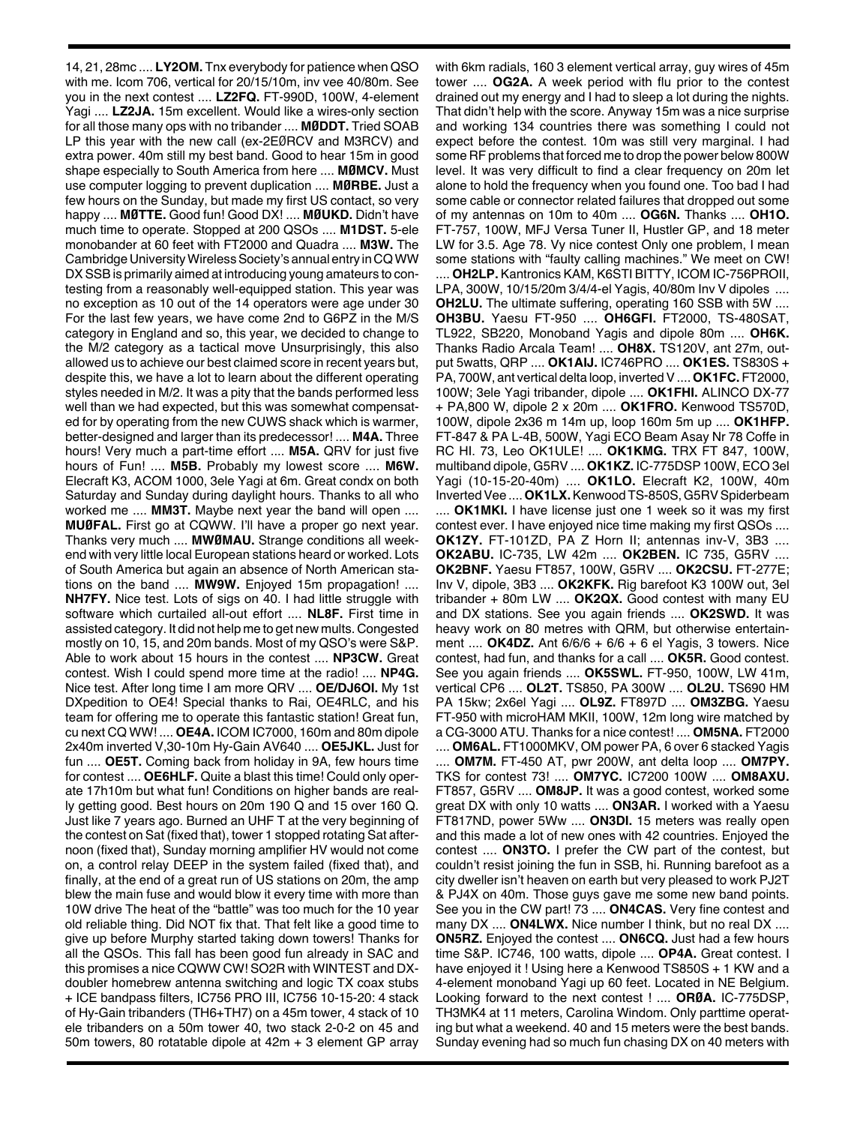14, 21, 28mc .... **LY2OM.** Tnx everybody for patience when QSO with me. Icom 706, vertical for 20/15/10m, inv vee 40/80m. See you in the next contest .... **LZ2FQ.** FT-990D, 100W, 4-element Yagi .... **LZ2JA.** 15m excellent. Would like a wires-only section for all those many ops with no tribander .... **MØDDT.** Tried SOAB LP this year with the new call (ex-2EØRCV and M3RCV) and extra power. 40m still my best band. Good to hear 15m in good shape especially to South America from here .... **MØMCV.** Must use computer logging to prevent duplication .... **MØRBE.** Just a few hours on the Sunday, but made my first US contact, so very happy .... **MØTTE.** Good fun! Good DX! .... **MØUKD.** Didn't have much time to operate. Stopped at 200 QSOs .... **M1DST.** 5-ele monobander at 60 feet with FT2000 and Quadra .... **M3W.** The Cambridge University Wireless Society's annual entry in CQ WW DX SSB is primarily aimed at introducing young amateurs to contesting from a reasonably well-equipped station. This year was no exception as 10 out of the 14 operators were age under 30 For the last few years, we have come 2nd to G6PZ in the M/S category in England and so, this year, we decided to change to the M/2 category as a tactical move Unsurprisingly, this also allowed us to achieve our best claimed score in recent years but, despite this, we have a lot to learn about the different operating styles needed in M/2. It was a pity that the bands performed less well than we had expected, but this was somewhat compensated for by operating from the new CUWS shack which is warmer, better-designed and larger than its predecessor! .... **M4A.** Three hours! Very much a part-time effort .... **M5A.** QRV for just five hours of Fun! .... **M5B.** Probably my lowest score .... **M6W.** Elecraft K3, ACOM 1000, 3ele Yagi at 6m. Great condx on both Saturday and Sunday during daylight hours. Thanks to all who worked me .... **MM3T.** Maybe next year the band will open .... **MUØFAL.** First go at CQWW. I'll have a proper go next year. Thanks very much .... **MWØMAU.** Strange conditions all weekend with very little local European stations heard or worked. Lots of South America but again an absence of North American stations on the band .... **MW9W.** Enjoyed 15m propagation! .... **NH7FY.** Nice test. Lots of sigs on 40. I had little struggle with software which curtailed all-out effort .... **NL8F.** First time in assisted category. It did not help me to get new mults. Congested mostly on 10, 15, and 20m bands. Most of my QSO's were S&P. Able to work about 15 hours in the contest .... **NP3CW.** Great contest. Wish I could spend more time at the radio! .... **NP4G.** Nice test. After long time I am more QRV .... **OE/DJ6OI.** My 1st DXpedition to OE4! Special thanks to Rai, OE4RLC, and his team for offering me to operate this fantastic station! Great fun, cu next CQ WW! .... **OE4A.** ICOM IC7000, 160m and 80m dipole 2x40m inverted V,30-10m Hy-Gain AV640 .... **OE5JKL.** Just for fun .... **OE5T.** Coming back from holiday in 9A, few hours time for contest .... **OE6HLF.** Quite a blast this time! Could only operate 17h10m but what fun! Conditions on higher bands are really getting good. Best hours on 20m 190 Q and 15 over 160 Q. Just like 7 years ago. Burned an UHF T at the very beginning of the contest on Sat (fixed that), tower 1 stopped rotating Sat afternoon (fixed that), Sunday morning amplifier HV would not come on, a control relay DEEP in the system failed (fixed that), and finally, at the end of a great run of US stations on 20m, the amp blew the main fuse and would blow it every time with more than 10W drive The heat of the "battle" was too much for the 10 year old reliable thing. Did NOT fix that. That felt like a good time to give up before Murphy started taking down towers! Thanks for all the QSOs. This fall has been good fun already in SAC and this promises a nice CQWW CW! SO2R with WINTEST and DXdoubler homebrew antenna switching and logic TX coax stubs + ICE bandpass filters, IC756 PRO III, IC756 10-15-20: 4 stack of Hy-Gain tribanders (TH6+TH7) on a 45m tower, 4 stack of 10 ele tribanders on a 50m tower 40, two stack 2-0-2 on 45 and 50m towers, 80 rotatable dipole at 42m + 3 element GP array

with 6km radials, 160 3 element vertical array, guy wires of 45m tower .... **OG2A.** A week period with flu prior to the contest drained out my energy and I had to sleep a lot during the nights. That didn't help with the score. Anyway 15m was a nice surprise and working 134 countries there was something I could not expect before the contest. 10m was still very marginal. I had some RF problems that forced me to drop the power below 800W level. It was very difficult to find a clear frequency on 20m let alone to hold the frequency when you found one. Too bad I had some cable or connector related failures that dropped out some of my antennas on 10m to 40m .... **OG6N.** Thanks .... **OH1O.** FT-757, 100W, MFJ Versa Tuner II, Hustler GP, and 18 meter LW for 3.5. Age 78. Vy nice contest Only one problem, I mean some stations with "faulty calling machines." We meet on CW! .... **OH2LP.** Kantronics KAM, K6STI BITTY, ICOM IC-756PROII, LPA, 300W, 10/15/20m 3/4/4-el Yagis, 40/80m Inv V dipoles .... **OH2LU.** The ultimate suffering, operating 160 SSB with 5W .... **OH3BU.** Yaesu FT-950 .... **OH6GFI.** FT2000, TS-480SAT, TL922, SB220, Monoband Yagis and dipole 80m .... **OH6K.** Thanks Radio Arcala Team! .... **OH8X.** TS120V, ant 27m, output 5watts, QRP .... **OK1AIJ.** IC746PRO .... **OK1ES.** TS830S + PA, 700W, ant vertical delta loop, invertedV....**OK1FC.** FT2000, 100W; 3ele Yagi tribander, dipole .... **OK1FHI.** ALINCO DX-77 + PA,800 W, dipole 2 x 20m .... **OK1FRO.** Kenwood TS570D, 100W, dipole 2x36 m 14m up, loop 160m 5m up .... **OK1HFP.** FT-847 & PA L-4B, 500W, Yagi ECO Beam Asay Nr 78 Coffe in RC HI. 73, Leo OK1ULE! .... **OK1KMG.** TRX FT 847, 100W, multiband dipole, G5RV .... **OK1KZ.** IC-775DSP 100W, ECO 3el Yagi (10-15-20-40m) .... **OK1LO.** Elecraft K2, 100W, 40m Inverted Vee .... OK1LX. Kenwood TS-850S, G5RV Spiderbeam .... **OK1MKI.** I have license just one 1 week so it was my first contest ever. I have enjoyed nice time making my first QSOs .... **OK1ZY.** FT-101ZD, PA Z Horn II; antennas inv-V, 3B3 .... **OK2ABU.** IC-735, LW 42m .... **OK2BEN.** IC 735, G5RV .... **OK2BNF.** Yaesu FT857, 100W, G5RV .... **OK2CSU.** FT-277E; Inv V, dipole, 3B3 .... **OK2KFK.** Rig barefoot K3 100W out, 3el tribander + 80m LW .... **OK2QX.** Good contest with many EU and DX stations. See you again friends .... **OK2SWD.** It was heavy work on 80 metres with QRM, but otherwise entertainment .... **OK4DZ.** Ant 6/6/6 + 6/6 + 6 el Yagis, 3 towers. Nice contest, had fun, and thanks for a call .... **OK5R.** Good contest. See you again friends .... **OK5SWL.** FT-950, 100W, LW 41m, vertical CP6 .... **OL2T.** TS850, PA 300W .... **OL2U.** TS690 HM PA 15kw; 2x6el Yagi .... **OL9Z.** FT897D .... **OM3ZBG.** Yaesu FT-950 with microHAM MKII, 100W, 12m long wire matched by a CG-3000 ATU. Thanks for a nice contest! .... **OM5NA.** FT2000

.... **OM6AL.** FT1000MKV, OM power PA, 6 over 6 stacked Yagis .... **OM7M.** FT-450 AT, pwr 200W, ant delta loop .... **OM7PY.** TKS for contest 73! .... **OM7YC.** IC7200 100W .... **OM8AXU.** FT857, G5RV .... **OM8JP.** It was a good contest, worked some great DX with only 10 watts .... **ON3AR.** I worked with a Yaesu FT817ND, power 5Ww .... **ON3DI.** 15 meters was really open and this made a lot of new ones with 42 countries. Enjoyed the contest .... **ON3TO.** I prefer the CW part of the contest, but couldn't resist joining the fun in SSB, hi. Running barefoot as a city dweller isn't heaven on earth but very pleased to work PJ2T & PJ4X on 40m. Those guys gave me some new band points. See you in the CW part! 73 .... **ON4CAS.** Very fine contest and many DX .... **ON4LWX.** Nice number I think, but no real DX .... **ON5RZ.** Enjoyed the contest .... **ON6CQ.** Just had a few hours time S&P. IC746, 100 watts, dipole .... **OP4A.** Great contest. I have enjoyed it ! Using here a Kenwood TS850S + 1 KW and a 4-element monoband Yagi up 60 feet. Located in NE Belgium. Looking forward to the next contest ! .... **ORØA.** IC-775DSP, TH3MK4 at 11 meters, Carolina Windom. Only parttime operating but what a weekend. 40 and 15 meters were the best bands. Sunday evening had so much fun chasing DX on 40 meters with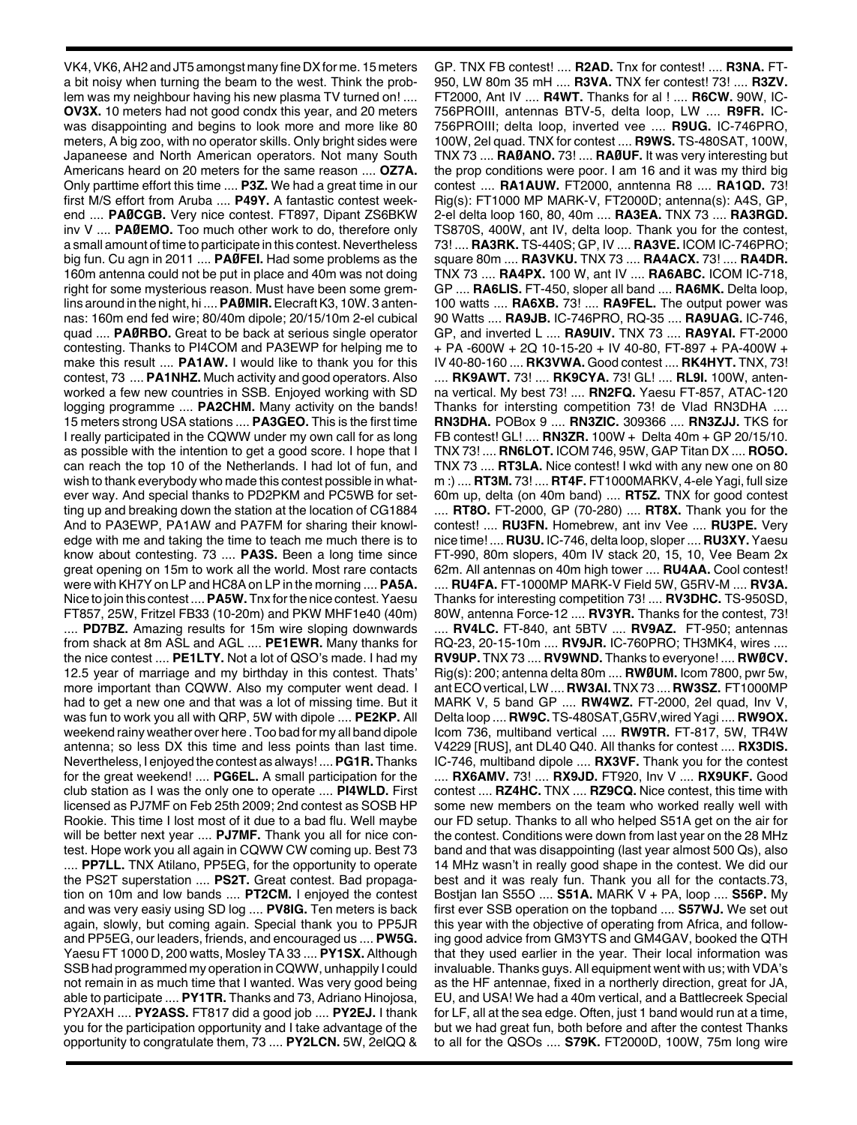VK4, VK6, AH2 and JT5 amongst many fine DX for me. 15 meters a bit noisy when turning the beam to the west. Think the problem was my neighbour having his new plasma TV turned on! .... **OV3X.** 10 meters had not good condx this year, and 20 meters was disappointing and begins to look more and more like 80 meters, A big zoo, with no operator skills. Only bright sides were Japaneese and North American operators. Not many South Americans heard on 20 meters for the same reason .... **OZ7A.** Only parttime effort this time .... **P3Z.** We had a great time in our first M/S effort from Aruba .... **P49Y.** A fantastic contest weekend .... **PAØCGB.** Very nice contest. FT897, Dipant ZS6BKW inv V .... **PAØEMO.** Too much other work to do, therefore only a small amount of time to participate in this contest. Nevertheless big fun. Cu agn in 2011 .... **PAØFEI.** Had some problems as the 160m antenna could not be put in place and 40m was not doing right for some mysterious reason. Must have been some gremlins around in the night, hi ....**PAØMIR.**ElecraftK3, 10W. 3 antennas: 160m end fed wire; 80/40m dipole; 20/15/10m 2-el cubical quad .... **PAØRBO.** Great to be back at serious single operator contesting. Thanks to PI4COM and PA3EWP for helping me to make this result .... **PA1AW.** I would like to thank you for this contest, 73 .... **PA1NHZ.** Much activity and good operators. Also worked a few new countries in SSB. Enjoyed working with SD logging programme .... **PA2CHM.** Many activity on the bands! 15 meters strong USA stations .... **PA3GEO.** This is the first time I really participated in the CQWW under my own call for as long as possible with the intention to get a good score. I hope that I can reach the top 10 of the Netherlands. I had lot of fun, and wish to thank everybody who made this contest possible in whatever way. And special thanks to PD2PKM and PC5WB for setting up and breaking down the station at the location of CG1884 And to PA3EWP, PA1AW and PA7FM for sharing their knowledge with me and taking the time to teach me much there is to know about contesting. 73 .... **PA3S.** Been a long time since great opening on 15m to work all the world. Most rare contacts were with KH7Y on LP and HC8A on LP in the morning .... **PA5A.** Nice to join this contest ....**PA5W.**Tnx forthe nice contest.Yaesu FT857, 25W, Fritzel FB33 (10-20m) and PKW MHF1e40 (40m) .... **PD7BZ.** Amazing results for 15m wire sloping downwards from shack at 8m ASL and AGL .... **PE1EWR.** Many thanks for the nice contest .... **PE1LTY.** Not a lot of QSO's made. I had my 12.5 year of marriage and my birthday in this contest. Thats' more important than CQWW. Also my computer went dead. I had to get a new one and that was a lot of missing time. But it was fun to work you all with QRP, 5W with dipole .... **PE2KP.** All weekend rainy weather over here . Too bad for my all band dipole antenna; so less DX this time and less points than last time. Nevertheless, I enjoyed the contest as always! ....**PG1R.** Thanks for the great weekend! .... **PG6EL.** A small participation for the club station as I was the only one to operate .... **PI4WLD.** First licensed as PJ7MF on Feb 25th 2009; 2nd contest as SOSB HP Rookie. This time I lost most of it due to a bad flu. Well maybe will be better next year .... **PJ7MF.** Thank you all for nice contest. Hope work you all again in CQWW CW coming up. Best 73 .... **PP7LL.** TNX Atilano, PP5EG, for the opportunity to operate the PS2T superstation .... **PS2T.** Great contest. Bad propagation on 10m and low bands .... **PT2CM.** I enjoyed the contest and was very easiy using SD log .... **PV8IG.** Ten meters is back again, slowly, but coming again. Special thank you to PP5JR and PP5EG, our leaders, friends, and encouraged us .... **PW5G.** Yaesu FT 1000 D, 200 watts, Mosley TA 33 .... **PY1SX.** Although SSBhad programmed my operation in CQWW, unhappily I could not remain in as much time that I wanted. Was very good being able to participate .... **PY1TR.** Thanks and 73, Adriano Hinojosa, PY2AXH .... **PY2ASS.** FT817 did a good job .... **PY2EJ.** I thank you for the participation opportunity and I take advantage of the opportunity to congratulate them, 73 .... **PY2LCN.** 5W, 2elQQ &

GP. TNX FB contest! .... **R2AD.** Tnx for contest! .... **R3NA.** FT-950, LW 80m 35 mH .... **R3VA.** TNX fer contest! 73! .... **R3ZV.** FT2000, Ant IV .... **R4WT.** Thanks for al ! .... **R6CW.** 90W, IC-756PROIII, antennas BTV-5, delta loop, LW .... **R9FR.** IC-756PROIII; delta loop, inverted vee .... **R9UG.** IC-746PRO, 100W, 2el quad. TNX for contest .... **R9WS.** TS-480SAT, 100W, TNX 73 .... **RAØANO.** 73! .... **RAØUF.** It was very interesting but the prop conditions were poor. I am 16 and it was my third big contest .... **RA1AUW.** FT2000, anntenna R8 .... **RA1QD.** 73! Rig(s): FT1000 MP MARK-V, FT2000D; antenna(s): A4S, GP, 2-el delta loop 160, 80, 40m .... **RA3EA.** TNX 73 .... **RA3RGD.** TS870S, 400W, ant IV, delta loop. Thank you for the contest, 73! .... **RA3RK.** TS-440S; GP, IV .... **RA3VE.** ICOM IC-746PRO; square 80m .... **RA3VKU.** TNX 73 .... **RA4ACX.** 73! .... **RA4DR.** TNX 73 .... **RA4PX.** 100 W, ant IV .... **RA6ABC.** ICOM IC-718, GP .... **RA6LIS.** FT-450, sloper all band .... **RA6MK.** Delta loop, 100 watts .... **RA6XB.** 73! .... **RA9FEL.** The output power was 90 Watts .... **RA9JB.** IC-746PRO, RQ-35 .... **RA9UAG.** IC-746, GP, and inverted L .... **RA9UIV.** TNX 73 .... **RA9YAI.** FT-2000 + PA -600W + 2Q 10-15-20 + IV 40-80, FT-897 + PA-400W + IV 40-80-160 .... **RK3VWA.** Good contest .... **RK4HYT.** TNX, 73! .... **RK9AWT.** 73! .... **RK9CYA.** 73! GL! .... **RL9I.** 100W, antenna vertical. My best 73! .... **RN2FQ.** Yaesu FT-857, ATAC-120 Thanks for intersting competition 73! de Vlad RN3DHA .... **RN3DHA.** POBox 9 .... **RN3ZIC.** 309366 .... **RN3ZJJ.** TKS for FB contest! GL! .... **RN3ZR.** 100W + Delta 40m + GP 20/15/10. TNX 73! .... **RN6LOT.** ICOM 746, 95W, GAP Titan DX .... **RO5O.** TNX 73 .... **RT3LA.** Nice contest! I wkd with any new one on 80 m :) .... **RT3M.** 73! .... **RT4F.** FT1000MARKV, 4-ele Yagi, full size 60m up, delta (on 40m band) .... **RT5Z.** TNX for good contest .... **RT8O.** FT-2000, GP (70-280) .... **RT8X.** Thank you for the contest! .... **RU3FN.** Homebrew, ant inv Vee .... **RU3PE.** Very nice time! .... **RU3U.** IC-746, delta loop, sloper.... **RU3XY.**Yaesu FT-990, 80m slopers, 40m IV stack 20, 15, 10, Vee Beam 2x 62m. All antennas on 40m high tower .... **RU4AA.** Cool contest! .... **RU4FA.** FT-1000MP MARK-V Field 5W, G5RV-M .... **RV3A.** Thanks for interesting competition 73! .... **RV3DHC.** TS-950SD, 80W, antenna Force-12 .... **RV3YR.** Thanks for the contest, 73! .... **RV4LC.** FT-840, ant 5BTV .... **RV9AZ.** FT-950; antennas RQ-23, 20-15-10m .... **RV9JR.** IC-760PRO; TH3MK4, wires .... **RV9UP.** TNX 73 .... **RV9WND.** Thanks to everyone! .... **RWØCV.** Rig(s): 200; antenna delta 80m .... **RWØUM.** Icom 7800, pwr 5w, antECOvertical, LW.... **RW3AI.**TNX73 .... **RW3SZ.** FT1000MP MARK V, 5 band GP .... **RW4WZ.** FT-2000, 2el quad, Inv V, Delta loop .... **RW9C.** TS-480SAT,G5RV,wiredYagi .... **RW9OX.** Icom 736, multiband vertical .... **RW9TR.** FT-817, 5W, TR4W V4229 [RUS], ant DL40 Q40. All thanks for contest .... **RX3DIS.** IC-746, multiband dipole .... **RX3VF.** Thank you for the contest .... **RX6AMV.** 73! .... **RX9JD.** FT920, Inv V .... **RX9UKF.** Good contest .... **RZ4HC.** TNX .... **RZ9CQ.** Nice contest, this time with some new members on the team who worked really well with our FD setup. Thanks to all who helped S51A get on the air for the contest. Conditions were down from last year on the 28 MHz band and that was disappointing (last year almost 500 Qs), also 14 MHz wasn't in really good shape in the contest. We did our best and it was realy fun. Thank you all for the contacts.73, Bostjan Ian S55O .... **S51A.** MARK V + PA, loop .... **S56P.** My first ever SSB operation on the topband .... **S57WJ.** We set out this year with the objective of operating from Africa, and following good advice from GM3YTS and GM4GAV, booked the QTH that they used earlier in the year. Their local information was invaluable. Thanks guys. All equipment went with us; with VDA's as the HF antennae, fixed in a northerly direction, great for JA, EU, and USA! We had a 40m vertical, and a Battlecreek Special for LF, all at the sea edge. Often, just 1 band would run at a time, but we had great fun, both before and after the contest Thanks to all for the QSOs .... **S79K.** FT2000D, 100W, 75m long wire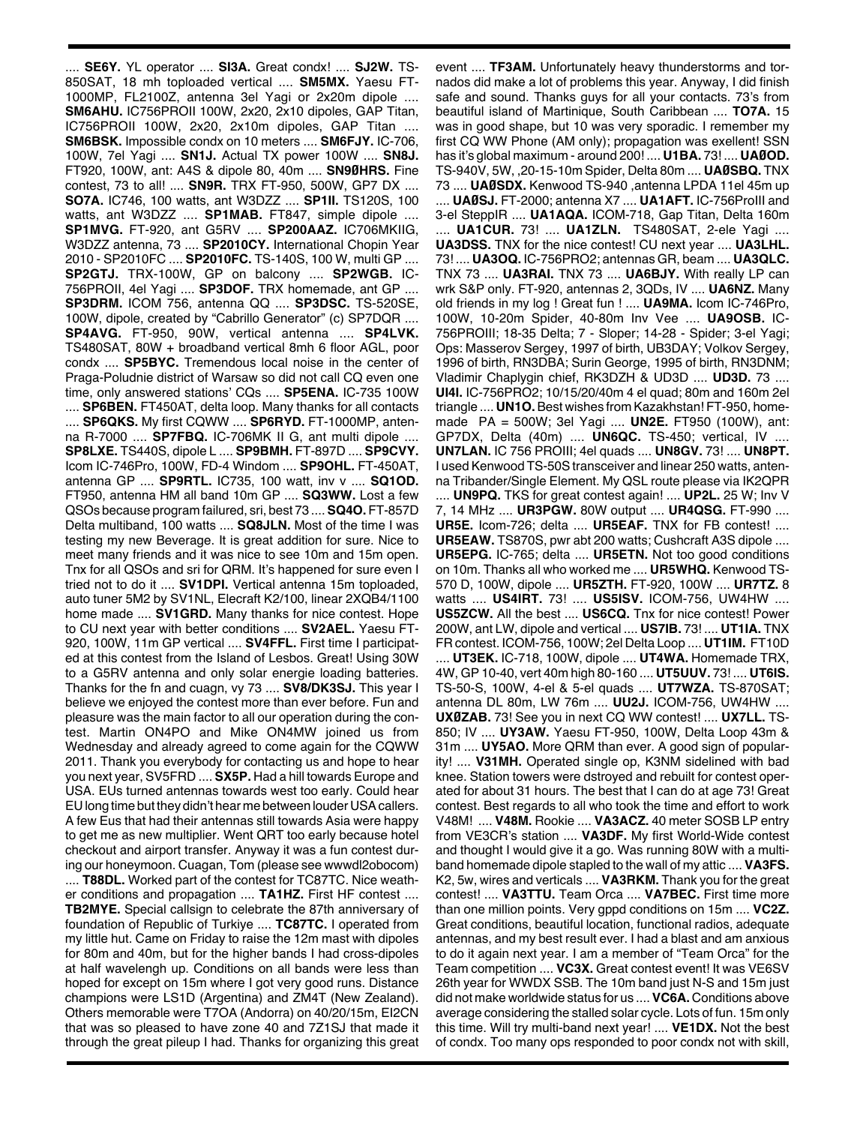.... **SE6Y.** YL operator .... **SI3A.** Great condx! .... **SJ2W.** TS-850SAT, 18 mh toploaded vertical .... **SM5MX.** Yaesu FT-1000MP, FL2100Z, antenna 3el Yagi or 2x20m dipole .... **SM6AHU.** IC756PROII 100W, 2x20, 2x10 dipoles, GAP Titan, IC756PROII 100W, 2x20, 2x10m dipoles, GAP Titan .... **SM6BSK.** Impossible condx on 10 meters .... **SM6FJY.** IC-706, 100W, 7el Yagi .... **SN1J.** Actual TX power 100W .... **SN8J.** FT920, 100W, ant: A4S & dipole 80, 40m .... **SN9ØHRS.** Fine contest, 73 to all! .... **SN9R.** TRX FT-950, 500W, GP7 DX .... **SO7A.** IC746, 100 watts, ant W3DZZ .... **SP1II.** TS120S, 100 watts, ant W3DZZ .... **SP1MAB.** FT847, simple dipole .... **SP1MVG.** FT-920, ant G5RV .... **SP200AAZ.** IC706MKIIG, W3DZZ antenna, 73 .... **SP2010CY.** International Chopin Year 2010 - SP2010FC .... **SP2010FC.** TS-140S, 100 W, multi GP .... **SP2GTJ.** TRX-100W, GP on balcony .... **SP2WGB.** IC-756PROII, 4el Yagi .... **SP3DOF.** TRX homemade, ant GP .... **SP3DRM.** ICOM 756, antenna QQ .... **SP3DSC.** TS-520SE, 100W, dipole, created by "Cabrillo Generator" (c) SP7DQR .... **SP4AVG.** FT-950, 90W, vertical antenna .... **SP4LVK.** TS480SAT, 80W + broadband vertical 8mh 6 floor AGL, poor condx .... **SP5BYC.** Tremendous local noise in the center of Praga-Poludnie district of Warsaw so did not call CQ even one time, only answered stations' CQs .... **SP5ENA.** IC-735 100W .... **SP6BEN.** FT450AT, delta loop. Many thanks for all contacts .... **SP6QKS.** My first CQWW .... **SP6RYD.** FT-1000MP, antenna R-7000 .... **SP7FBQ.** IC-706MK II G, ant multi dipole .... **SP8LXE.** TS440S, dipole L .... **SP9BMH.** FT-897D .... **SP9CVY.** Icom IC-746Pro, 100W, FD-4 Windom .... **SP9OHL.** FT-450AT, antenna GP .... **SP9RTL.** IC735, 100 watt, inv v .... **SQ1OD.** FT950, antenna HM all band 10m GP .... **SQ3WW.** Lost a few QSOs because program failured, sri, best 73 ....**SQ4O.** FT-857D Delta multiband, 100 watts .... **SQ8JLN.** Most of the time I was testing my new Beverage. It is great addition for sure. Nice to meet many friends and it was nice to see 10m and 15m open. Tnx for all QSOs and sri for QRM. It's happened for sure even I tried not to do it .... **SV1DPI.** Vertical antenna 15m toploaded, auto tuner 5M2 by SV1NL, Elecraft K2/100, linear 2XQB4/1100 home made .... **SV1GRD.** Many thanks for nice contest. Hope to CU next year with better conditions .... **SV2AEL.** Yaesu FT-920, 100W, 11m GP vertical .... **SV4FFL.** First time I participated at this contest from the Island of Lesbos. Great! Using 30W to a G5RV antenna and only solar energie loading batteries. Thanks for the fn and cuagn, vy 73 .... **SV8/DK3SJ.** This year I believe we enjoyed the contest more than ever before. Fun and pleasure was the main factor to all our operation during the contest. Martin ON4PO and Mike ON4MW joined us from Wednesday and already agreed to come again for the CQWW 2011. Thank you everybody for contacting us and hope to hear you next year, SV5FRD .... **SX5P.** Had a hill towards Europe and USA. EUs turned antennas towards west too early. Could hear EU long time but they didn't hear me between louder USAcallers. A few Eus that had their antennas still towards Asia were happy to get me as new multiplier. Went QRT too early because hotel checkout and airport transfer. Anyway it was a fun contest during our honeymoon. Cuagan, Tom (please see wwwdl2obocom) .... **T88DL.** Worked part of the contest for TC87TC. Nice weather conditions and propagation .... **TA1HZ.** First HF contest .... **TB2MYE.** Special callsign to celebrate the 87th anniversary of foundation of Republic of Turkiye .... **TC87TC.** I operated from my little hut. Came on Friday to raise the 12m mast with dipoles for 80m and 40m, but for the higher bands I had cross-dipoles at half wavelengh up. Conditions on all bands were less than hoped for except on 15m where I got very good runs. Distance champions were LS1D (Argentina) and ZM4T (New Zealand). Others memorable were T7OA (Andorra) on 40/20/15m, EI2CN that was so pleased to have zone 40 and 7Z1SJ that made it through the great pileup I had. Thanks for organizing this great

event .... **TF3AM.** Unfortunately heavy thunderstorms and tornados did make a lot of problems this year. Anyway, I did finish safe and sound. Thanks guys for all your contacts. 73's from beautiful island of Martinique, South Caribbean .... **TO7A.** 15 was in good shape, but 10 was very sporadic. I remember my first CQ WW Phone (AM only); propagation was exellent! SSN has it's global maximum - around 200! .... **U1BA.** 73! .... **UAØOD.** TS-940V, 5W, ,20-15-10m Spider, Delta 80m .... **UAØSBQ.** TNX 73 .... **UAØSDX.** Kenwood TS-940 ,antenna LPDA 11el 45m up .... **UAØSJ.** FT-2000; antenna X7 .... **UA1AFT.** IC-756ProIII and 3-el SteppIR .... **UA1AQA.** ICOM-718, Gap Titan, Delta 160m .... **UA1CUR.** 73! .... **UA1ZLN.** TS480SAT, 2-ele Yagi .... **UA3DSS.** TNX for the nice contest! CU next year .... **UA3LHL.** 73! .... **UA3OQ.** IC-756PRO2; antennas GR, beam .... **UA3QLC.** TNX 73 .... **UA3RAI.** TNX 73 .... **UA6BJY.** With really LP can wrk S&P only. FT-920, antennas 2, 3QDs, IV .... **UA6NZ.** Many old friends in my log ! Great fun ! .... **UA9MA.** Icom IC-746Pro, 100W, 10-20m Spider, 40-80m Inv Vee .... **UA9OSB.** IC-756PROIII; 18-35 Delta; 7 - Sloper; 14-28 - Spider; 3-el Yagi; Ops: Masserov Sergey, 1997 of birth, UB3DAY; Volkov Sergey, 1996 of birth, RN3DBA; Surin George, 1995 of birth, RN3DNM; Vladimir Chaplygin chief, RK3DZH & UD3D .... **UD3D.** 73 .... **UI4I.** IC-756PRO2; 10/15/20/40m 4 el quad; 80m and 160m 2el triangle .... **UN1O.**Best wishes from Kazakhstan! FT-950, homemade PA = 500W; 3el Yagi .... **UN2E.** FT950 (100W), ant: GP7DX, Delta (40m) .... **UN6QC.** TS-450; vertical, IV .... **UN7LAN.** IC 756 PROIII; 4el quads .... **UN8GV.** 73! .... **UN8PT.** I used Kenwood TS-50S transceiver and linear 250 watts, antenna Tribander/Single Element. My QSL route please via IK2QPR .... **UN9PQ.** TKS for great contest again! .... **UP2L.** 25 W; Inv V 7, 14 MHz .... **UR3PGW.** 80W output .... **UR4QSG.** FT-990 .... **UR5E.** Icom-726; delta .... **UR5EAF.** TNX for FB contest! .... **UR5EAW.** TS870S, pwr abt 200 watts; Cushcraft A3S dipole .... **UR5EPG.** IC-765; delta .... **UR5ETN.** Not too good conditions on 10m. Thanks all who worked me .... **UR5WHQ.** Kenwood TS-570 D, 100W, dipole .... **UR5ZTH.** FT-920, 100W .... **UR7TZ.** 8 watts .... **US4IRT.** 73! .... **US5ISV.** ICOM-756, UW4HW .... **US5ZCW.** All the best .... **US6CQ.** Tnx for nice contest! Power 200W, ant LW, dipole and vertical .... **US7IB.** 73! .... **UT1IA.** TNX FR contest. ICOM-756, 100W; 2el Delta Loop .... **UT1IM.** FT10D .... **UT3EK.** IC-718, 100W, dipole .... **UT4WA.** Homemade TRX, 4W, GP 10-40, vert 40m high 80-160 .... **UT5UUV.** 73! .... **UT6IS.** TS-50-S, 100W, 4-el & 5-el quads .... **UT7WZA.** TS-870SAT; antenna DL 80m, LW 76m .... **UU2J.** ICOM-756, UW4HW .... **UXØZAB.** 73! See you in next CQ WW contest! .... **UX7LL.** TS-850; IV .... **UY3AW.** Yaesu FT-950, 100W, Delta Loop 43m & 31m .... **UY5AO.** More QRM than ever. A good sign of popularity! .... **V31MH.** Operated single op, K3NM sidelined with bad knee. Station towers were dstroyed and rebuilt for contest operated for about 31 hours. The best that I can do at age 73! Great contest. Best regards to all who took the time and effort to work V48M! .... **V48M.** Rookie .... **VA3ACZ.** 40 meter SOSB LP entry from VE3CR's station .... **VA3DF.** My first World-Wide contest and thought I would give it a go. Was running 80W with a multiband homemade dipole stapled to the wall of my attic .... **VA3FS.** K2, 5w, wires and verticals .... **VA3RKM.** Thank you for the great contest! .... **VA3TTU.** Team Orca .... **VA7BEC.** First time more than one million points. Very gppd conditions on 15m .... **VC2Z.** Great conditions, beautiful location, functional radios, adequate antennas, and my best result ever. I had a blast and am anxious to do it again next year. I am a member of "Team Orca" for the Team competition .... **VC3X.** Great contest event! It was VE6SV 26th year for WWDX SSB. The 10m band just N-S and 15m just did not make worldwide status for us ....**VC6A.** Conditions above average considering the stalled solar cycle. Lots of fun. 15m only this time. Will try multi-band next year! .... **VE1DX.** Not the best of condx. Too many ops responded to poor condx not with skill,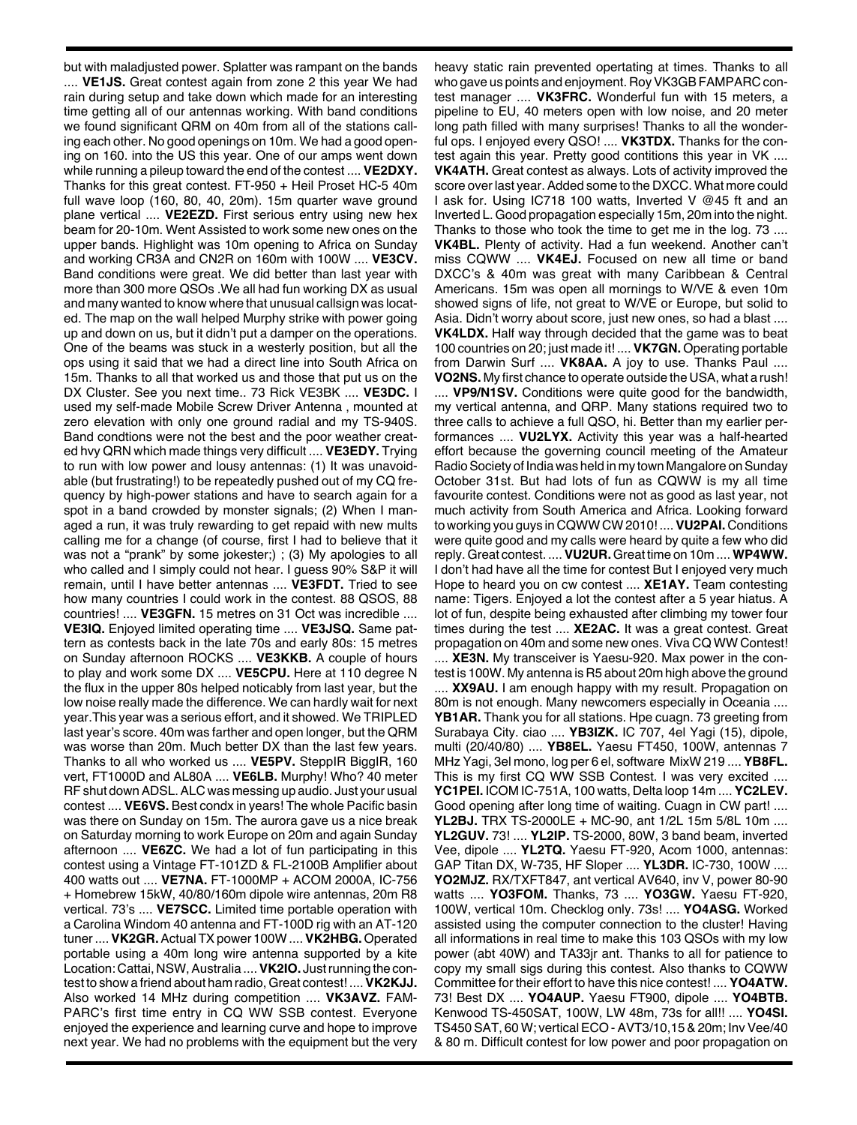but with maladjusted power. Splatter was rampant on the bands .... **VE1JS.** Great contest again from zone 2 this year We had rain during setup and take down which made for an interesting time getting all of our antennas working. With band conditions we found significant QRM on 40m from all of the stations calling each other. No good openings on 10m. We had a good opening on 160. into the US this year. One of our amps went down while running a pileup toward the end of the contest .... **VE2DXY.** Thanks for this great contest. FT-950 + Heil Proset HC-5 40m full wave loop (160, 80, 40, 20m). 15m quarter wave ground plane vertical .... **VE2EZD.** First serious entry using new hex beam for 20-10m. Went Assisted to work some new ones on the upper bands. Highlight was 10m opening to Africa on Sunday and working CR3A and CN2R on 160m with 100W .... **VE3CV.** Band conditions were great. We did better than last year with more than 300 more QSOs .We all had fun working DX as usual and many wanted to know where that unusual callsign was located. The map on the wall helped Murphy strike with power going up and down on us, but it didn't put a damper on the operations. One of the beams was stuck in a westerly position, but all the ops using it said that we had a direct line into South Africa on 15m. Thanks to all that worked us and those that put us on the DX Cluster. See you next time.. 73 Rick VE3BK .... **VE3DC.** I used my self-made Mobile Screw Driver Antenna , mounted at zero elevation with only one ground radial and my TS-940S. Band condtions were not the best and the poor weather created hvy QRN which made things very difficult .... **VE3EDY.** Trying to run with low power and lousy antennas: (1) It was unavoidable (but frustrating!) to be repeatedly pushed out of my CQ frequency by high-power stations and have to search again for a spot in a band crowded by monster signals; (2) When I managed a run, it was truly rewarding to get repaid with new mults calling me for a change (of course, first I had to believe that it was not a "prank" by some jokester;) ; (3) My apologies to all who called and I simply could not hear. I guess 90% S&P it will remain, until I have better antennas .... **VE3FDT.** Tried to see how many countries I could work in the contest. 88 QSOS, 88 countries! .... **VE3GFN.** 15 metres on 31 Oct was incredible .... **VE3IQ.** Enjoyed limited operating time .... **VE3JSQ.** Same pattern as contests back in the late 70s and early 80s: 15 metres on Sunday afternoon ROCKS .... **VE3KKB.** A couple of hours to play and work some DX .... **VE5CPU.** Here at 110 degree N the flux in the upper 80s helped noticably from last year, but the low noise really made the difference. We can hardly wait for next year.This year was a serious effort, and it showed. We TRIPLED last year's score. 40m was farther and open longer, but the QRM was worse than 20m. Much better DX than the last few years. Thanks to all who worked us .... **VE5PV.** SteppIR BiggIR, 160 vert, FT1000D and AL80A .... **VE6LB.** Murphy! Who? 40 meter RF shut downADSL.ALC was messing up audio. Just your usual contest .... **VE6VS.** Best condx in years! The whole Pacific basin was there on Sunday on 15m. The aurora gave us a nice break on Saturday morning to work Europe on 20m and again Sunday afternoon .... **VE6ZC.** We had a lot of fun participating in this contest using a Vintage FT-101ZD & FL-2100B Amplifier about 400 watts out .... **VE7NA.** FT-1000MP + ACOM 2000A, IC-756 + Homebrew 15kW, 40/80/160m dipole wire antennas, 20m R8 vertical. 73's .... **VE7SCC.** Limited time portable operation with a Carolina Windom 40 antenna and FT-100D rig with an AT-120 tuner....**VK2GR.**Actual TXpower 100W ....**VK2HBG.** Operated portable using a 40m long wire antenna supported by a kite Location: Cattai, NSW, Australia .... VK2IO. Just running the contest to show a friend about ham radio, Great contest! ....**VK2KJJ.** Also worked 14 MHz during competition .... **VK3AVZ.** FAM-PARC's first time entry in CQ WW SSB contest. Everyone enjoyed the experience and learning curve and hope to improve next year. We had no problems with the equipment but the very

heavy static rain prevented opertating at times. Thanks to all who gave us points and enjoyment. Roy VK3GB FAMPARC contest manager .... **VK3FRC.** Wonderful fun with 15 meters, a pipeline to EU, 40 meters open with low noise, and 20 meter long path filled with many surprises! Thanks to all the wonderful ops. I enjoyed every QSO! .... **VK3TDX.** Thanks for the contest again this year. Pretty good contitions this year in VK .... **VK4ATH.** Great contest as always. Lots of activity improved the score over last year. Added some to the DXCC. What more could I ask for. Using IC718 100 watts, Inverted V @45 ft and an Inverted L. Good propagation especially 15m, 20m into the night. Thanks to those who took the time to get me in the log. 73 .... **VK4BL.** Plenty of activity. Had a fun weekend. Another can't miss CQWW .... **VK4EJ.** Focused on new all time or band DXCC's & 40m was great with many Caribbean & Central Americans. 15m was open all mornings to W/VE & even 10m showed signs of life, not great to W/VE or Europe, but solid to Asia. Didn't worry about score, just new ones, so had a blast .... **VK4LDX.** Half way through decided that the game was to beat 100 countries on 20; just made it! .... **VK7GN.** Operating portable from Darwin Surf .... **VK8AA.** A joy to use. Thanks Paul .... **VO2NS.** My first chance to operate outside the USA, what a rush!

.... **VP9/N1SV.** Conditions were quite good for the bandwidth, my vertical antenna, and QRP. Many stations required two to three calls to achieve a full QSO, hi. Better than my earlier performances .... **VU2LYX.** Activity this year was a half-hearted effort because the governing council meeting of the Amateur Radio Society of India was held in my town Mangalore on Sunday October 31st. But had lots of fun as CQWW is my all time favourite contest. Conditions were not as good as last year, not much activity from South America and Africa. Looking forward to working you guys in CQWW CW 2010! ....**VU2PAI.** Conditions were quite good and my calls were heard by quite a few who did reply.Great contest. ....**VU2UR.**Great time on 10m ....**WP4WW.** I don't had have all the time for contest But I enjoyed very much Hope to heard you on cw contest .... **XE1AY.** Team contesting name: Tigers. Enjoyed a lot the contest after a 5 year hiatus. A lot of fun, despite being exhausted after climbing my tower four times during the test .... **XE2AC.** It was a great contest. Great propagation on 40m and some new ones. Viva CQ WW Contest! .... **XE3N.** My transceiver is Yaesu-920. Max power in the contest is 100W. My antenna is R5 about 20m high above the ground

.... **XX9AU.** I am enough happy with my result. Propagation on 80m is not enough. Many newcomers especially in Oceania .... **YB1AR.** Thank you for all stations. Hpe cuagn. 73 greeting from Surabaya City. ciao .... **YB3IZK.** IC 707, 4el Yagi (15), dipole, multi (20/40/80) .... **YB8EL.** Yaesu FT450, 100W, antennas 7 MHz Yagi, 3el mono, log per 6 el, software MixW 219 .... **YB8FL.** This is my first CQ WW SSB Contest. I was very excited .... **YC1PEI.** ICOM IC-751A, 100 watts, Delta loop 14m .... **YC2LEV.** Good opening after long time of waiting. Cuagn in CW part! .... **YL2BJ.** TRX TS-2000LE + MC-90, ant 1/2L 15m 5/8L 10m .... **YL2GUV.** 73! .... **YL2IP.** TS-2000, 80W, 3 band beam, inverted Vee, dipole .... **YL2TQ.** Yaesu FT-920, Acom 1000, antennas: GAP Titan DX, W-735, HF Sloper .... **YL3DR.** IC-730, 100W .... **YO2MJZ.** RX/TXFT847, ant vertical AV640, inv V, power 80-90 watts .... **YO3FOM.** Thanks, 73 .... **YO3GW.** Yaesu FT-920, 100W, vertical 10m. Checklog only. 73s! .... **YO4ASG.** Worked assisted using the computer connection to the cluster! Having all informations in real time to make this 103 QSOs with my low power (abt 40W) and TA33jr ant. Thanks to all for patience to copy my small sigs during this contest. Also thanks to CQWW Committee for their effort to have this nice contest! .... **YO4ATW.** 73! Best DX .... **YO4AUP.** Yaesu FT900, dipole .... **YO4BTB.** Kenwood TS-450SAT, 100W, LW 48m, 73s for all!! .... **YO4SI.** TS450SAT, 60 W; verticalECO -AVT3/10,15&20m; InvVee/40 & 80 m. Difficult contest for low power and poor propagation on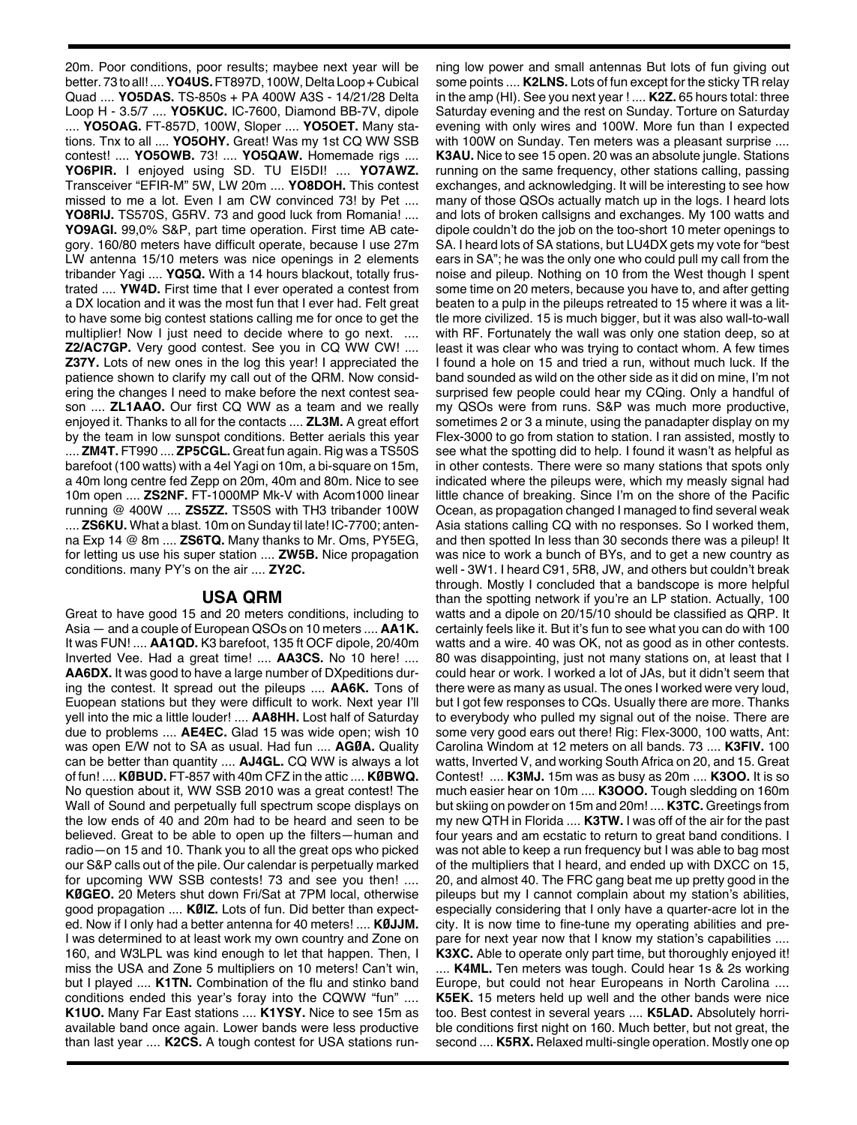20m. Poor conditions, poor results; maybee next year will be better. 73 to all! ....**YO4US.**FT897D, 100W,Delta Loop+Cubical Quad .... **YO5DAS.** TS-850s + PA 400W A3S - 14/21/28 Delta Loop H - 3.5/7 .... **YO5KUC.** IC-7600, Diamond BB-7V, dipole .... **YO5OAG.** FT-857D, 100W, Sloper .... **YO5OET.** Many stations. Tnx to all .... **YO5OHY.** Great! Was my 1st CQ WW SSB contest! .... **YO5OWB.** 73! .... **YO5QAW.** Homemade rigs .... **YO6PIR.** I enjoyed using SD. TU EI5DI! .... **YO7AWZ.** Transceiver "EFIR-M" 5W, LW 20m .... **YO8DOH.** This contest missed to me a lot. Even I am CW convinced 73! by Pet .... **YO8RIJ.** TS570S, G5RV. 73 and good luck from Romania! .... **YO9AGI.** 99,0% S&P, part time operation. First time AB category. 160/80 meters have difficult operate, because I use 27m LW antenna 15/10 meters was nice openings in 2 elements tribander Yagi .... **YQ5Q.** With a 14 hours blackout, totally frustrated .... **YW4D.** First time that I ever operated a contest from a DX location and it was the most fun that I ever had. Felt great to have some big contest stations calling me for once to get the multiplier! Now I just need to decide where to go next. .... **Z2/AC7GP.** Very good contest. See you in CQ WW CW! .... **Z37Y.** Lots of new ones in the log this year! I appreciated the patience shown to clarify my call out of the QRM. Now considering the changes I need to make before the next contest season .... **ZL1AAO.** Our first CQ WW as a team and we really enjoyed it. Thanks to all for the contacts .... **ZL3M.** A great effort by the team in low sunspot conditions. Better aerials this year .... **ZM4T.** FT990 .... **ZP5CGL.** Great fun again. Rig was a TS50S barefoot (100 watts) with a 4el Yagi on 10m, a bi-square on 15m, a 40m long centre fed Zepp on 20m, 40m and 80m. Nice to see 10m open .... **ZS2NF.** FT-1000MP Mk-V with Acom1000 linear running @ 400W .... **ZS5ZZ.** TS50S with TH3 tribander 100W .... **ZS6KU.** What a blast. 10m on Sunday til late! IC-7700; antenna Exp 14 @ 8m .... **ZS6TQ.** Many thanks to Mr. Oms, PY5EG, for letting us use his super station .... **ZW5B.** Nice propagation conditions. many PY's on the air .... **ZY2C.**

## **USA QRM**

Great to have good 15 and 20 meters conditions, including to Asia — and a couple of European QSOs on 10 meters .... **AA1K.** It was FUN! .... **AA1QD.** K3 barefoot, 135 ft OCF dipole, 20/40m Inverted Vee. Had a great time! .... **AA3CS.** No 10 here! .... **AA6DX.** It was good to have a large number of DXpeditions during the contest. It spread out the pileups .... **AA6K.** Tons of Euopean stations but they were difficult to work. Next year I'll yell into the mic a little louder! .... **AA8HH.** Lost half of Saturday due to problems .... **AE4EC.** Glad 15 was wide open; wish 10 was open E/W not to SA as usual. Had fun .... **AGØA.** Quality can be better than quantity .... **AJ4GL.** CQ WW is always a lot of fun! .... **KØBUD.** FT-857 with 40m CFZ in the attic .... **KØBWQ.** No question about it, WW SSB 2010 was a great contest! The Wall of Sound and perpetually full spectrum scope displays on the low ends of 40 and 20m had to be heard and seen to be believed. Great to be able to open up the filters—human and radio—on 15 and 10. Thank you to all the great ops who picked our S&P calls out of the pile. Our calendar is perpetually marked for upcoming WW SSB contests! 73 and see you then! .... **KØGEO.** 20 Meters shut down Fri/Sat at 7PM local, otherwise good propagation .... **KØIZ.** Lots of fun. Did better than expected. Now if I only had a better antenna for 40 meters! .... **KØJJM.** I was determined to at least work my own country and Zone on 160, and W3LPL was kind enough to let that happen. Then, I miss the USA and Zone 5 multipliers on 10 meters! Can't win, but I played .... **K1TN.** Combination of the flu and stinko band conditions ended this year's foray into the CQWW "fun" .... **K1UO.** Many Far East stations .... **K1YSY.** Nice to see 15m as available band once again. Lower bands were less productive than last year .... **K2CS.** A tough contest for USA stations running low power and small antennas But lots of fun giving out some points .... **K2LNS.** Lots of fun except for the sticky TR relay in the amp (HI). See you next year ! .... **K2Z.** 65 hours total: three Saturday evening and the rest on Sunday. Torture on Saturday evening with only wires and 100W. More fun than I expected with 100W on Sunday. Ten meters was a pleasant surprise .... **K3AU.** Nice to see 15 open. 20 was an absolute jungle. Stations running on the same frequency, other stations calling, passing exchanges, and acknowledging. It will be interesting to see how many of those QSOs actually match up in the logs. I heard lots and lots of broken callsigns and exchanges. My 100 watts and dipole couldn't do the job on the too-short 10 meter openings to SA. I heard lots of SA stations, but LU4DX gets my vote for "best ears in SA"; he was the only one who could pull my call from the noise and pileup. Nothing on 10 from the West though I spent some time on 20 meters, because you have to, and after getting beaten to a pulp in the pileups retreated to 15 where it was a little more civilized. 15 is much bigger, but it was also wall-to-wall with RF. Fortunately the wall was only one station deep, so at least it was clear who was trying to contact whom. A few times I found a hole on 15 and tried a run, without much luck. If the band sounded as wild on the other side as it did on mine, I'm not surprised few people could hear my CQing. Only a handful of my QSOs were from runs. S&P was much more productive, sometimes 2 or 3 a minute, using the panadapter display on my Flex-3000 to go from station to station. I ran assisted, mostly to see what the spotting did to help. I found it wasn't as helpful as in other contests. There were so many stations that spots only indicated where the pileups were, which my measly signal had little chance of breaking. Since I'm on the shore of the Pacific Ocean, as propagation changed I managed to find several weak Asia stations calling CQ with no responses. So I worked them, and then spotted In less than 30 seconds there was a pileup! It was nice to work a bunch of BYs, and to get a new country as well - 3W1. I heard C91, 5R8, JW, and others but couldn't break through. Mostly I concluded that a bandscope is more helpful than the spotting network if you're an LP station. Actually, 100 watts and a dipole on 20/15/10 should be classified as QRP. It certainly feels like it. But it's fun to see what you can do with 100 watts and a wire. 40 was OK, not as good as in other contests. 80 was disappointing, just not many stations on, at least that I could hear or work. I worked a lot of JAs, but it didn't seem that there were as many as usual. The ones I worked were very loud, but I got few responses to CQs. Usually there are more. Thanks to everybody who pulled my signal out of the noise. There are some very good ears out there! Rig: Flex-3000, 100 watts, Ant: Carolina Windom at 12 meters on all bands. 73 .... **K3FIV.** 100 watts, Inverted V, and working South Africa on 20, and 15. Great Contest! .... **K3MJ.** 15m was as busy as 20m .... **K3OO.** It is so much easier hear on 10m .... **K3OOO.** Tough sledding on 160m but skiing on powder on 15m and 20m! .... **K3TC.** Greetings from my new QTH in Florida .... **K3TW.** I was off of the air for the past four years and am ecstatic to return to great band conditions. I was not able to keep a run frequency but I was able to bag most of the multipliers that I heard, and ended up with DXCC on 15, 20, and almost 40. The FRC gang beat me up pretty good in the pileups but my I cannot complain about my station's abilities, especially considering that I only have a quarter-acre lot in the city. It is now time to fine-tune my operating abilities and prepare for next year now that I know my station's capabilities .... **K3XC.** Able to operate only part time, but thoroughly enjoyed it!

.... **K4ML.** Ten meters was tough. Could hear 1s & 2s working Europe, but could not hear Europeans in North Carolina .... **K5EK.** 15 meters held up well and the other bands were nice too. Best contest in several years .... **K5LAD.** Absolutely horrible conditions first night on 160. Much better, but not great, the second .... **K5RX.** Relaxed multi-single operation. Mostly one op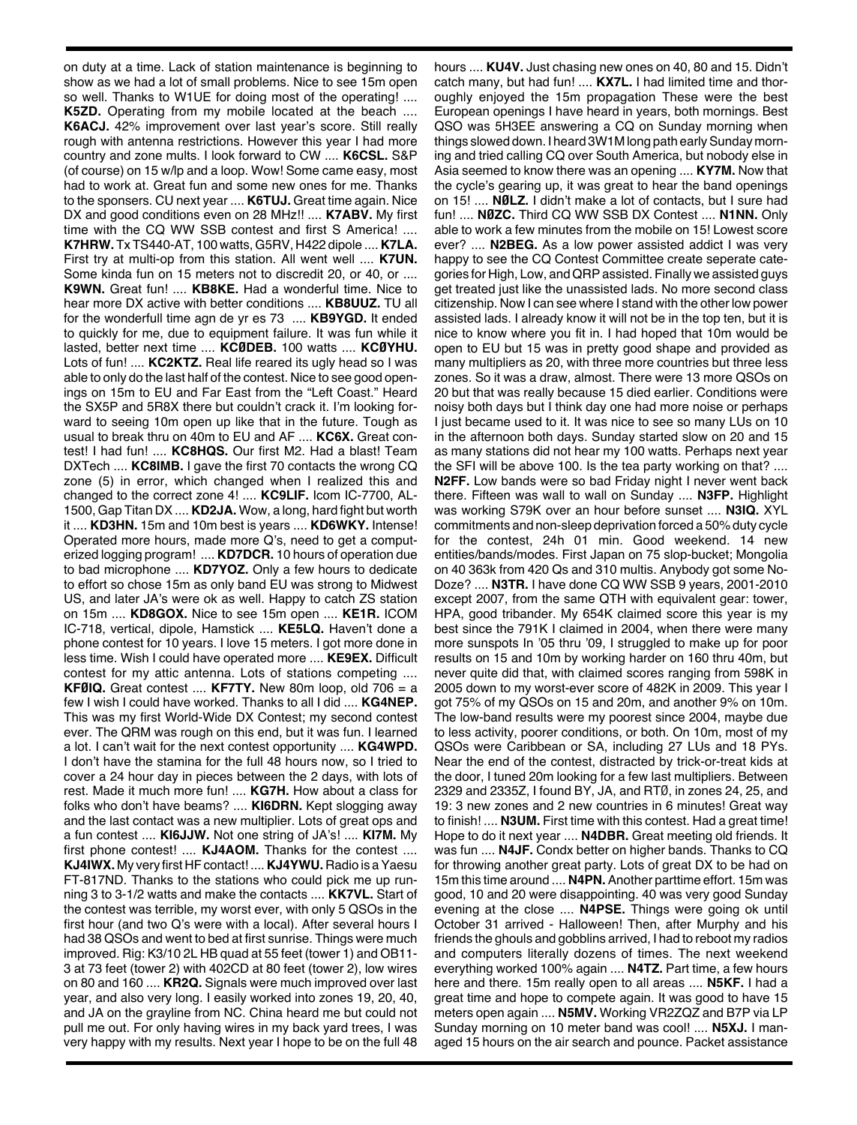on duty at a time. Lack of station maintenance is beginning to show as we had a lot of small problems. Nice to see 15m open so well. Thanks to W1UE for doing most of the operating! .... **K5ZD.** Operating from my mobile located at the beach .... **K6ACJ.** 42% improvement over last year's score. Still really rough with antenna restrictions. However this year I had more country and zone mults. I look forward to CW .... **K6CSL.** S&P (of course) on 15 w/lp and a loop. Wow! Some came easy, most had to work at. Great fun and some new ones for me. Thanks to the sponsers. CU next year .... **K6TUJ.** Great time again. Nice DX and good conditions even on 28 MHz!! .... **K7ABV.** My first time with the CQ WW SSB contest and first S America! .... **K7HRW.** Tx TS440-AT, 100 watts, G5RV, H422 dipole .... **K7LA.** First try at multi-op from this station. All went well .... **K7UN.** Some kinda fun on 15 meters not to discredit 20, or 40, or .... **K9WN.** Great fun! .... **KB8KE.** Had a wonderful time. Nice to hear more DX active with better conditions .... **KB8UUZ.** TU all for the wonderfull time agn de yr es 73 .... **KB9YGD.** It ended to quickly for me, due to equipment failure. It was fun while it lasted, better next time .... **KCØDEB.** 100 watts .... **KCØYHU.** Lots of fun! .... **KC2KTZ.** Real life reared its ugly head so I was able to only do the last half of the contest. Nice to see good openings on 15m to EU and Far East from the "Left Coast." Heard the SX5P and 5R8X there but couldn't crack it. I'm looking forward to seeing 10m open up like that in the future. Tough as usual to break thru on 40m to EU and AF .... **KC6X.** Great contest! I had fun! .... **KC8HQS.** Our first M2. Had a blast! Team DXTech .... **KC8IMB.** I gave the first 70 contacts the wrong CQ zone (5) in error, which changed when I realized this and changed to the correct zone 4! .... **KC9LIF.** Icom IC-7700, AL-1500, Gap Titan DX .... **KD2JA.** Wow, a long, hard fight but worth it .... **KD3HN.** 15m and 10m best is years .... **KD6WKY.** Intense! Operated more hours, made more Q's, need to get a computerized logging program! .... **KD7DCR.** 10 hours of operation due to bad microphone .... **KD7YOZ.** Only a few hours to dedicate to effort so chose 15m as only band EU was strong to Midwest US, and later JA's were ok as well. Happy to catch ZS station on 15m .... **KD8GOX.** Nice to see 15m open .... **KE1R.** ICOM IC-718, vertical, dipole, Hamstick .... **KE5LQ.** Haven't done a phone contest for 10 years. I love 15 meters. I got more done in less time. Wish I could have operated more .... **KE9EX.** Difficult contest for my attic antenna. Lots of stations competing .... **KFØIQ.** Great contest .... **KF7TY.** New 80m loop, old 706 = a few I wish I could have worked. Thanks to all I did .... **KG4NEP.** This was my first World-Wide DX Contest; my second contest ever. The QRM was rough on this end, but it was fun. I learned a lot. I can't wait for the next contest opportunity .... **KG4WPD.** I don't have the stamina for the full 48 hours now, so I tried to cover a 24 hour day in pieces between the 2 days, with lots of rest. Made it much more fun! .... **KG7H.** How about a class for folks who don't have beams? .... **KI6DRN.** Kept slogging away and the last contact was a new multiplier. Lots of great ops and a fun contest .... **KI6JJW.** Not one string of JA's! .... **KI7M.** My first phone contest! .... **KJ4AOM.** Thanks for the contest .... KJ4IWX. My very first HF contact! .... KJ4YWU. Radio is a Yaesu FT-817ND. Thanks to the stations who could pick me up running 3 to 3-1/2 watts and make the contacts .... **KK7VL.** Start of the contest was terrible, my worst ever, with only 5 QSOs in the first hour (and two Q's were with a local). After several hours I had 38 QSOs and went to bed at first sunrise. Things were much improved. Rig: K3/10 2L HB quad at 55 feet (tower 1) and OB11- 3 at 73 feet (tower 2) with 402CD at 80 feet (tower 2), low wires on 80 and 160 .... **KR2Q.** Signals were much improved over last year, and also very long. I easily worked into zones 19, 20, 40, and JA on the grayline from NC. China heard me but could not pull me out. For only having wires in my back yard trees, I was very happy with my results. Next year I hope to be on the full 48 hours .... **KU4V.** Just chasing new ones on 40, 80 and 15. Didn't catch many, but had fun! .... **KX7L.** I had limited time and thoroughly enjoyed the 15m propagation These were the best European openings I have heard in years, both mornings. Best QSO was 5H3EE answering a CQ on Sunday morning when things slowed down. I heard 3W1M long path early Sunday morning and tried calling CQ over South America, but nobody else in Asia seemed to know there was an opening .... **KY7M.** Now that the cycle's gearing up, it was great to hear the band openings on 15! .... **NØLZ.** I didn't make a lot of contacts, but I sure had fun! .... **NØZC.** Third CQ WW SSB DX Contest .... **N1NN.** Only able to work a few minutes from the mobile on 15! Lowest score ever? .... **N2BEG.** As a low power assisted addict I was very happy to see the CQ Contest Committee create seperate categories for High, Low, and QRP assisted. Finally we assisted guys get treated just like the unassisted lads. No more second class citizenship. Now I can see where I stand with the other low power assisted lads. I already know it will not be in the top ten, but it is nice to know where you fit in. I had hoped that 10m would be open to EU but 15 was in pretty good shape and provided as many multipliers as 20, with three more countries but three less zones. So it was a draw, almost. There were 13 more QSOs on 20 but that was really because 15 died earlier. Conditions were noisy both days but I think day one had more noise or perhaps I just became used to it. It was nice to see so many LUs on 10 in the afternoon both days. Sunday started slow on 20 and 15 as many stations did not hear my 100 watts. Perhaps next year the SFI will be above 100. Is the tea party working on that? .... **N2FF.** Low bands were so bad Friday night I never went back there. Fifteen was wall to wall on Sunday .... **N3FP.** Highlight was working S79K over an hour before sunset .... **N3IQ.** XYL commitments and non-sleep deprivation forced a 50% duty cycle for the contest, 24h 01 min. Good weekend. 14 new entities/bands/modes. First Japan on 75 slop-bucket; Mongolia on 40 363k from 420 Qs and 310 multis. Anybody got some No-Doze? .... **N3TR.** I have done CQ WW SSB 9 years, 2001-2010 except 2007, from the same QTH with equivalent gear: tower, HPA, good tribander. My 654K claimed score this year is my best since the 791K I claimed in 2004, when there were many more sunspots In '05 thru '09, I struggled to make up for poor results on 15 and 10m by working harder on 160 thru 40m, but never quite did that, with claimed scores ranging from 598K in 2005 down to my worst-ever score of 482K in 2009. This year I got 75% of my QSOs on 15 and 20m, and another 9% on 10m. The low-band results were my poorest since 2004, maybe due to less activity, poorer conditions, or both. On 10m, most of my QSOs were Caribbean or SA, including 27 LUs and 18 PYs. Near the end of the contest, distracted by trick-or-treat kids at the door, I tuned 20m looking for a few last multipliers. Between 2329 and 2335Z, I found BY, JA, and RTØ, in zones 24, 25, and 19: 3 new zones and 2 new countries in 6 minutes! Great way to finish! .... **N3UM.** First time with this contest. Had a great time! Hope to do it next year .... **N4DBR.** Great meeting old friends. It was fun .... **N4JF.** Condx better on higher bands. Thanks to CQ for throwing another great party. Lots of great DX to be had on 15m this time around .... **N4PN.** Another parttime effort. 15m was good, 10 and 20 were disappointing. 40 was very good Sunday evening at the close .... **N4PSE.** Things were going ok until October 31 arrived - Halloween! Then, after Murphy and his friends the ghouls and gobblins arrived, I had to reboot my radios and computers literally dozens of times. The next weekend everything worked 100% again .... **N4TZ.** Part time, a few hours here and there. 15m really open to all areas .... **N5KF.** I had a great time and hope to compete again. It was good to have 15 meters open again .... **N5MV.** Working VR2ZQZ and B7P via LP Sunday morning on 10 meter band was cool! .... **N5XJ.** I managed 15 hours on the air search and pounce. Packet assistance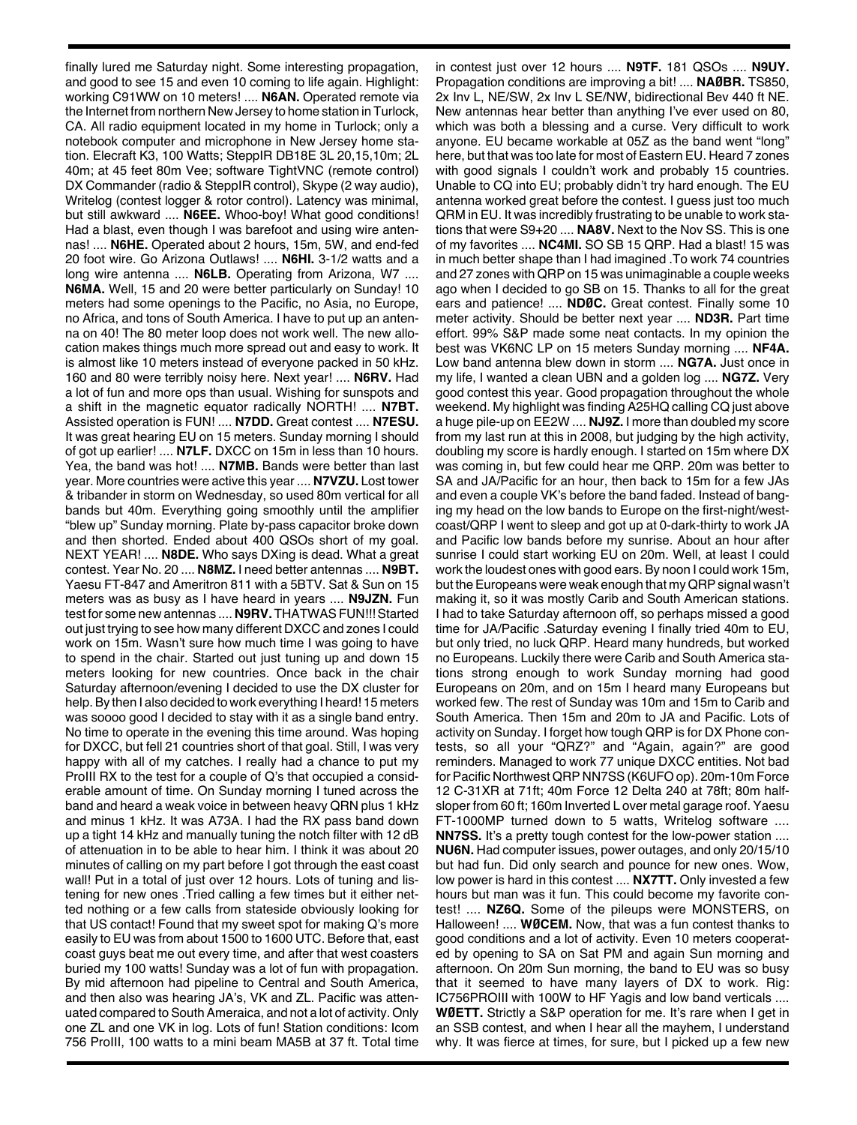finally lured me Saturday night. Some interesting propagation, and good to see 15 and even 10 coming to life again. Highlight: working C91WW on 10 meters! .... **N6AN.** Operated remote via the Internet from northern New Jersey to home station in Turlock, CA. All radio equipment located in my home in Turlock; only a notebook computer and microphone in New Jersey home station. Elecraft K3, 100 Watts; SteppIR DB18E 3L 20,15,10m; 2L 40m; at 45 feet 80m Vee; software TightVNC (remote control) DX Commander (radio & SteppIR control), Skype (2 way audio), Writelog (contest logger & rotor control). Latency was minimal, but still awkward .... **N6EE.** Whoo-boy! What good conditions! Had a blast, even though I was barefoot and using wire antennas! .... **N6HE.** Operated about 2 hours, 15m, 5W, and end-fed 20 foot wire. Go Arizona Outlaws! .... **N6HI.** 3-1/2 watts and a long wire antenna .... **N6LB.** Operating from Arizona, W7 .... **N6MA.** Well, 15 and 20 were better particularly on Sunday! 10 meters had some openings to the Pacific, no Asia, no Europe, no Africa, and tons of South America. I have to put up an antenna on 40! The 80 meter loop does not work well. The new allocation makes things much more spread out and easy to work. It is almost like 10 meters instead of everyone packed in 50 kHz. 160 and 80 were terribly noisy here. Next year! .... **N6RV.** Had a lot of fun and more ops than usual. Wishing for sunspots and a shift in the magnetic equator radically NORTH! .... **N7BT.** Assisted operation is FUN! .... **N7DD.** Great contest .... **N7ESU.** It was great hearing EU on 15 meters. Sunday morning I should of got up earlier! .... **N7LF.** DXCC on 15m in less than 10 hours. Yea, the band was hot! .... **N7MB.** Bands were better than last year. More countries were active this year .... **N7VZU.** Lost tower & tribander in storm on Wednesday, so used 80m vertical for all bands but 40m. Everything going smoothly until the amplifier "blew up" Sunday morning. Plate by-pass capacitor broke down and then shorted. Ended about 400 QSOs short of my goal. NEXT YEAR! .... **N8DE.** Who says DXing is dead. What a great contest. Year No. 20 .... **N8MZ.** I need better antennas .... **N9BT.** Yaesu FT-847 and Ameritron 811 with a 5BTV. Sat & Sun on 15 meters was as busy as I have heard in years .... **N9JZN.** Fun test for some new antennas .... **N9RV.** THATWAS FUN!!! Started out just trying to see how many different DXCC and zones I could work on 15m. Wasn't sure how much time I was going to have to spend in the chair. Started out just tuning up and down 15 meters looking for new countries. Once back in the chair Saturday afternoon/evening I decided to use the DX cluster for help. By then I also decided to work everything I heard! 15 meters was soooo good I decided to stay with it as a single band entry. No time to operate in the evening this time around. Was hoping for DXCC, but fell 21 countries short of that goal. Still, I was very happy with all of my catches. I really had a chance to put my ProIII RX to the test for a couple of Q's that occupied a considerable amount of time. On Sunday morning I tuned across the band and heard a weak voice in between heavy QRN plus 1 kHz and minus 1 kHz. It was A73A. I had the RX pass band down up a tight 14 kHz and manually tuning the notch filter with 12 dB of attenuation in to be able to hear him. I think it was about 20 minutes of calling on my part before I got through the east coast wall! Put in a total of just over 12 hours. Lots of tuning and listening for new ones .Tried calling a few times but it either netted nothing or a few calls from stateside obviously looking for that US contact! Found that my sweet spot for making Q's more easily to EU was from about 1500 to 1600 UTC. Before that, east coast guys beat me out every time, and after that west coasters buried my 100 watts! Sunday was a lot of fun with propagation. By mid afternoon had pipeline to Central and South America, and then also was hearing JA's, VK and ZL. Pacific was attenuated compared to South Ameraica, and not a lot of activity. Only one ZL and one VK in log. Lots of fun! Station conditions: Icom 756 ProIII, 100 watts to a mini beam MA5B at 37 ft. Total time

in contest just over 12 hours .... **N9TF.** 181 QSOs .... **N9UY.** Propagation conditions are improving a bit! .... **NAØBR.** TS850, 2x Inv L, NE/SW, 2x Inv L SE/NW, bidirectional Bev 440 ft NE. New antennas hear better than anything I've ever used on 80, which was both a blessing and a curse. Very difficult to work anyone. EU became workable at 05Z as the band went "long" here, but that was too late for most of Eastern EU. Heard 7 zones with good signals I couldn't work and probably 15 countries. Unable to CQ into EU; probably didn't try hard enough. The EU antenna worked great before the contest. I guess just too much QRM in EU. It was incredibly frustrating to be unable to work stations that were S9+20 .... **NA8V.** Next to the Nov SS. This is one of my favorites .... **NC4MI.** SO SB 15 QRP. Had a blast! 15 was in much better shape than I had imagined .To work 74 countries and 27 zones with QRP on 15 was unimaginable a couple weeks ago when I decided to go SB on 15. Thanks to all for the great ears and patience! .... **NDØC.** Great contest. Finally some 10 meter activity. Should be better next year .... **ND3R.** Part time effort. 99% S&P made some neat contacts. In my opinion the best was VK6NC LP on 15 meters Sunday morning .... **NF4A.** Low band antenna blew down in storm .... **NG7A.** Just once in my life, I wanted a clean UBN and a golden log .... **NG7Z.** Very good contest this year. Good propagation throughout the whole weekend. My highlight was finding A25HQ calling CQ just above a huge pile-up on EE2W .... **NJ9Z.** I more than doubled my score from my last run at this in 2008, but judging by the high activity, doubling my score is hardly enough. I started on 15m where DX was coming in, but few could hear me QRP. 20m was better to SA and JA/Pacific for an hour, then back to 15m for a few JAs and even a couple VK's before the band faded. Instead of banging my head on the low bands to Europe on the first-night/westcoast/QRP I went to sleep and got up at 0-dark-thirty to work JA and Pacific low bands before my sunrise. About an hour after sunrise I could start working EU on 20m. Well, at least I could work the loudest ones with good ears. By noon I could work 15m, but the Europeans were weak enough that my QRP signal wasn't making it, so it was mostly Carib and South American stations. I had to take Saturday afternoon off, so perhaps missed a good time for JA/Pacific .Saturday evening I finally tried 40m to EU, but only tried, no luck QRP. Heard many hundreds, but worked no Europeans. Luckily there were Carib and South America stations strong enough to work Sunday morning had good Europeans on 20m, and on 15m I heard many Europeans but worked few. The rest of Sunday was 10m and 15m to Carib and South America. Then 15m and 20m to JA and Pacific. Lots of activity on Sunday. I forget how tough QRP is for DX Phone contests, so all your "QRZ?" and "Again, again?" are good reminders. Managed to work 77 unique DXCC entities. Not bad for Pacific Northwest QRP NN7SS (K6UFO op). 20m-10m Force 12 C-31XR at 71ft; 40m Force 12 Delta 240 at 78ft; 80m halfsloper from 60 ft; 160m Inverted L over metal garage roof. Yaesu FT-1000MP turned down to 5 watts, Writelog software .... **NN7SS.** It's a pretty tough contest for the low-power station .... **NU6N.** Had computer issues, power outages, and only 20/15/10 but had fun. Did only search and pounce for new ones. Wow, low power is hard in this contest .... **NX7TT.** Only invested a few hours but man was it fun. This could become my favorite contest! .... **NZ6Q.** Some of the pileups were MONSTERS, on Halloween! .... **WØCEM.** Now, that was a fun contest thanks to good conditions and a lot of activity. Even 10 meters cooperated by opening to SA on Sat PM and again Sun morning and afternoon. On 20m Sun morning, the band to EU was so busy that it seemed to have many layers of DX to work. Rig: IC756PROIII with 100W to HF Yagis and low band verticals .... **WØETT.** Strictly a S&P operation for me. It's rare when I get in an SSB contest, and when I hear all the mayhem, I understand why. It was fierce at times, for sure, but I picked up a few new